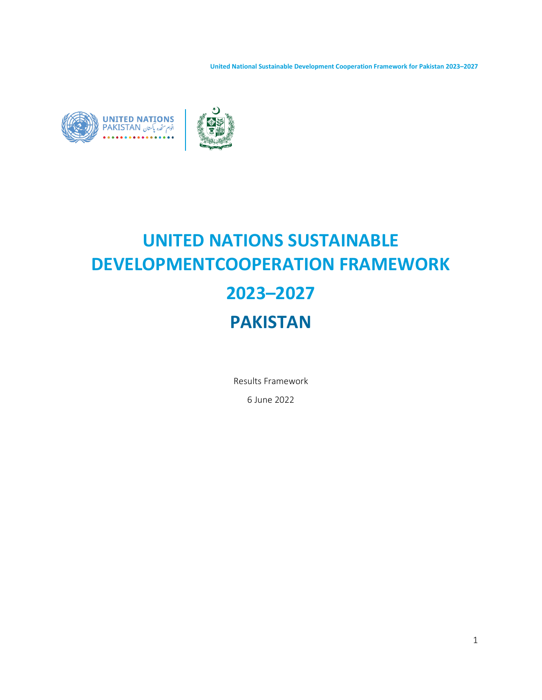**United National Sustainable Development Cooperation Framework for Pakistan 2023–2027**





# **UNITED NATIONS SUSTAINABLE DEVELOPMENTCOOPERATION FRAMEWORK 2023–2027 PAKISTAN**

Results Framework

6 June 2022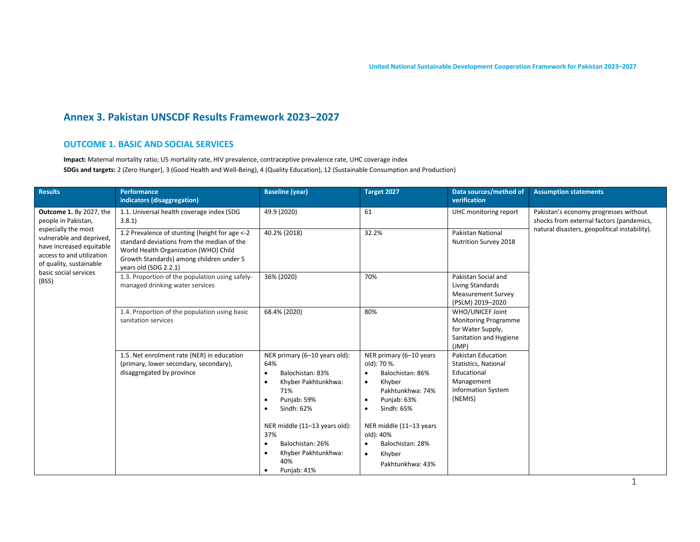# **Annex 3. Pakistan UNSCDF Results Framework 2023–2027**

#### **OUTCOME 1. BASIC AND SOCIAL SERVICES**

**Impact:** Maternal mortality ratio; U5 mortality rate, HIV prevalence, contraceptive prevalence rate, UHC coverage index **SDGs and targets:** 2 (Zero Hunger), 3 (Good Health and Well-Being), 4 (Quality Education), 12 (Sustainable Consumption and Production)

| <b>Results</b>                                                                                                                                                                               | <b>Performance</b><br>indicators (disaggregation)                                                                                                                                                           | <b>Baseline (year)</b>                                                                                                                                                                                                                                                                                                  | Target 2027                                                                                                                                                                                                                                                                                   | Data sources/method of<br>verification                                                                          | <b>Assumption statements</b>                                                      |
|----------------------------------------------------------------------------------------------------------------------------------------------------------------------------------------------|-------------------------------------------------------------------------------------------------------------------------------------------------------------------------------------------------------------|-------------------------------------------------------------------------------------------------------------------------------------------------------------------------------------------------------------------------------------------------------------------------------------------------------------------------|-----------------------------------------------------------------------------------------------------------------------------------------------------------------------------------------------------------------------------------------------------------------------------------------------|-----------------------------------------------------------------------------------------------------------------|-----------------------------------------------------------------------------------|
| <b>Outcome 1.</b> By 2027, the<br>people in Pakistan,<br>especially the most<br>vulnerable and deprived,<br>have increased equitable<br>access to and utilization<br>of quality, sustainable | 1.1. Universal health coverage index (SDG<br>3.8.1                                                                                                                                                          | 49.9 (2020)                                                                                                                                                                                                                                                                                                             | 61                                                                                                                                                                                                                                                                                            | UHC monitoring report                                                                                           | Pakistan's economy progresses without<br>shocks from external factors (pandemics, |
|                                                                                                                                                                                              | 1.2 Prevalence of stunting (height for age <- 2<br>standard deviations from the median of the<br>World Health Organization (WHO) Child<br>Growth Standards) among children under 5<br>years old (SDG 2.2.1) | 40.2% (2018)                                                                                                                                                                                                                                                                                                            | 32.2%                                                                                                                                                                                                                                                                                         | Pakistan National<br>Nutrition Survey 2018                                                                      | natural disasters, geopolitical instability).                                     |
| basic social services<br>(BSS)                                                                                                                                                               | 1.3. Proportion of the population using safely-<br>managed drinking water services                                                                                                                          | 36% (2020)                                                                                                                                                                                                                                                                                                              | 70%                                                                                                                                                                                                                                                                                           | Pakistan Social and<br>Living Standards<br><b>Measurement Survey</b><br>(PSLM) 2019-2020                        |                                                                                   |
|                                                                                                                                                                                              | 1.4. Proportion of the population using basic<br>sanitation services                                                                                                                                        | 68.4% (2020)                                                                                                                                                                                                                                                                                                            | 80%                                                                                                                                                                                                                                                                                           | WHO/UNICEF Joint<br><b>Monitoring Programme</b><br>for Water Supply,<br>Sanitation and Hygiene<br>(JMP)         |                                                                                   |
|                                                                                                                                                                                              | 1.5. Net enrolment rate (NER) in education<br>(primary, lower secondary, secondary),<br>disaggregated by province                                                                                           | NER primary (6-10 years old):<br>64%<br>Balochistan: 83%<br>$\bullet$<br>Khyber Pakhtunkhwa:<br>$\bullet$<br>71%<br>Punjab: 59%<br>$\bullet$<br>Sindh: 62%<br>$\bullet$<br>NER middle (11-13 years old):<br>37%<br>Balochistan: 26%<br>$\bullet$<br>Khyber Pakhtunkhwa:<br>$\bullet$<br>40%<br>Punjab: 41%<br>$\bullet$ | NER primary (6-10 years<br>old): 70 %.<br>Balochistan: 86%<br>$\bullet$<br>Khyber<br>$\bullet$<br>Pakhtunkhwa: 74%<br>Punjab: 63%<br>$\bullet$<br>Sindh: 65%<br>$\bullet$<br>NER middle (11-13 years<br>old): 40%<br>Balochistan: 28%<br>$\bullet$<br>Khyber<br>$\bullet$<br>Pakhtunkhwa: 43% | Pakistan Education<br>Statistics, National<br>Educational<br>Management<br><b>Information System</b><br>(NEMIS) |                                                                                   |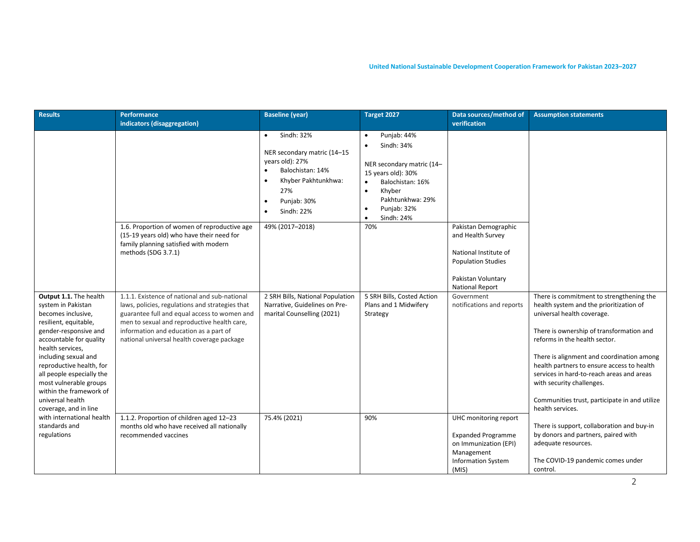| <b>Results</b>                                                                                                                                                                                                                                                                                                                                         | Performance<br>indicators (disaggregation)                                                                                                                                                                                                                                              | <b>Baseline</b> (year)                                                                                                                                                             | Target 2027                                                                                                                                                                                                                  | Data sources/method of<br>verification                                                                                                          | <b>Assumption statements</b>                                                                                                                                                                                                                                                                                                                                                                                                             |
|--------------------------------------------------------------------------------------------------------------------------------------------------------------------------------------------------------------------------------------------------------------------------------------------------------------------------------------------------------|-----------------------------------------------------------------------------------------------------------------------------------------------------------------------------------------------------------------------------------------------------------------------------------------|------------------------------------------------------------------------------------------------------------------------------------------------------------------------------------|------------------------------------------------------------------------------------------------------------------------------------------------------------------------------------------------------------------------------|-------------------------------------------------------------------------------------------------------------------------------------------------|------------------------------------------------------------------------------------------------------------------------------------------------------------------------------------------------------------------------------------------------------------------------------------------------------------------------------------------------------------------------------------------------------------------------------------------|
|                                                                                                                                                                                                                                                                                                                                                        |                                                                                                                                                                                                                                                                                         | Sindh: 32%<br>$\bullet$<br>NER secondary matric (14-15<br>years old): 27%<br>Balochistan: 14%<br>$\bullet$<br>Khyber Pakhtunkhwa:<br>$\bullet$<br>27%<br>Punjab: 30%<br>Sindh: 22% | Punjab: 44%<br>$\bullet$<br>Sindh: 34%<br>$\bullet$<br>NER secondary matric (14-<br>15 years old): 30%<br>Balochistan: 16%<br>Khyber<br>$\bullet$<br>Pakhtunkhwa: 29%<br>Punjab: 32%<br>$\bullet$<br>Sindh: 24%<br>$\bullet$ |                                                                                                                                                 |                                                                                                                                                                                                                                                                                                                                                                                                                                          |
|                                                                                                                                                                                                                                                                                                                                                        | 1.6. Proportion of women of reproductive age<br>(15-19 years old) who have their need for<br>family planning satisfied with modern<br>methods (SDG 3.7.1)                                                                                                                               | 49% (2017-2018)                                                                                                                                                                    | 70%                                                                                                                                                                                                                          | Pakistan Demographic<br>and Health Survey<br>National Institute of<br><b>Population Studies</b><br>Pakistan Voluntary<br><b>National Report</b> |                                                                                                                                                                                                                                                                                                                                                                                                                                          |
| Output 1.1. The health<br>system in Pakistan<br>becomes inclusive,<br>resilient, equitable,<br>gender-responsive and<br>accountable for quality<br>health services,<br>including sexual and<br>reproductive health, for<br>all people especially the<br>most vulnerable groups<br>within the framework of<br>universal health<br>coverage, and in line | 1.1.1. Existence of national and sub-national<br>laws, policies, regulations and strategies that<br>guarantee full and equal access to women and<br>men to sexual and reproductive health care,<br>information and education as a part of<br>national universal health coverage package | 2 SRH Bills, National Population<br>Narrative, Guidelines on Pre-<br>marital Counselling (2021)                                                                                    | 5 SRH Bills, Costed Action<br>Plans and 1 Midwifery<br>Strategy                                                                                                                                                              | Government<br>notifications and reports                                                                                                         | There is commitment to strengthening the<br>health system and the prioritization of<br>universal health coverage.<br>There is ownership of transformation and<br>reforms in the health sector.<br>There is alignment and coordination among<br>health partners to ensure access to health<br>services in hard-to-reach areas and areas<br>with security challenges.<br>Communities trust, participate in and utilize<br>health services. |
| with international health<br>standards and<br>regulations                                                                                                                                                                                                                                                                                              | 1.1.2. Proportion of children aged 12-23<br>months old who have received all nationally<br>recommended vaccines                                                                                                                                                                         | 75.4% (2021)                                                                                                                                                                       | 90%                                                                                                                                                                                                                          | UHC monitoring report<br><b>Expanded Programme</b><br>on Immunization (EPI)<br>Management<br><b>Information System</b><br>(MIS)                 | There is support, collaboration and buy-in<br>by donors and partners, paired with<br>adequate resources.<br>The COVID-19 pandemic comes under<br>control.                                                                                                                                                                                                                                                                                |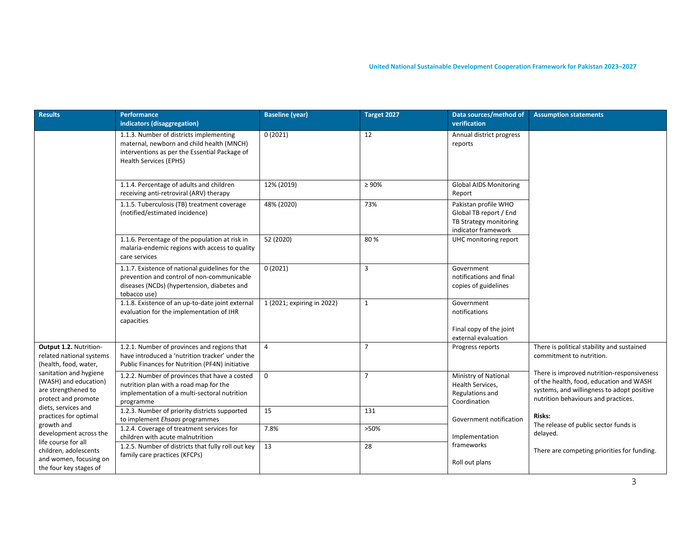| <b>Results</b>                                                                                                                                                                                                                                                                                                                                                           | Performance<br>indicators (disaggregation)                                                                                                                             | <b>Baseline (year)</b>     | Target 2027    | Data sources/method of<br>verification                                                          | <b>Assumption statements</b>                                                                                                                                                                                                                                                                                               |
|--------------------------------------------------------------------------------------------------------------------------------------------------------------------------------------------------------------------------------------------------------------------------------------------------------------------------------------------------------------------------|------------------------------------------------------------------------------------------------------------------------------------------------------------------------|----------------------------|----------------|-------------------------------------------------------------------------------------------------|----------------------------------------------------------------------------------------------------------------------------------------------------------------------------------------------------------------------------------------------------------------------------------------------------------------------------|
|                                                                                                                                                                                                                                                                                                                                                                          | 1.1.3. Number of districts implementing<br>maternal, newborn and child health (MNCH)<br>interventions as per the Essential Package of<br><b>Health Services (EPHS)</b> | 0(2021)                    | 12             | Annual district progress<br>reports                                                             |                                                                                                                                                                                                                                                                                                                            |
|                                                                                                                                                                                                                                                                                                                                                                          | 1.1.4. Percentage of adults and children<br>receiving anti-retroviral (ARV) therapy                                                                                    | 12% (2019)                 | $\geq 90\%$    | <b>Global AIDS Monitoring</b><br>Report                                                         |                                                                                                                                                                                                                                                                                                                            |
|                                                                                                                                                                                                                                                                                                                                                                          | 1.1.5. Tuberculosis (TB) treatment coverage<br>(notified/estimated incidence)                                                                                          | 48% (2020)                 | 73%            | Pakistan profile WHO<br>Global TB report / End<br>TB Strategy monitoring<br>indicator framework |                                                                                                                                                                                                                                                                                                                            |
|                                                                                                                                                                                                                                                                                                                                                                          | 1.1.6. Percentage of the population at risk in<br>malaria-endemic regions with access to quality<br>care services                                                      | 52 (2020)                  | 80%            | UHC monitoring report                                                                           |                                                                                                                                                                                                                                                                                                                            |
|                                                                                                                                                                                                                                                                                                                                                                          | 1.1.7. Existence of national guidelines for the<br>prevention and control of non-communicable<br>diseases (NCDs) (hypertension, diabetes and<br>tobacco use)           | 0(2021)                    | 3              | Government<br>notifications and final<br>copies of guidelines                                   |                                                                                                                                                                                                                                                                                                                            |
|                                                                                                                                                                                                                                                                                                                                                                          | 1.1.8. Existence of an up-to-date joint external<br>evaluation for the implementation of IHR<br>capacities                                                             | 1 (2021; expiring in 2022) | $\mathbf{1}$   | Government<br>notifications<br>Final copy of the joint<br>external evaluation                   |                                                                                                                                                                                                                                                                                                                            |
| Output 1.2. Nutrition-<br>related national systems<br>(health, food, water,<br>sanitation and hygiene<br>(WASH) and education)<br>are strengthened to<br>protect and promote<br>diets, services and<br>practices for optimal<br>growth and<br>development across the<br>life course for all<br>children, adolescents<br>and women, focusing on<br>the four key stages of | 1.2.1. Number of provinces and regions that<br>have introduced a 'nutrition tracker' under the<br>Public Finances for Nutrition (PF4N) initiative                      | $\overline{4}$             | $\overline{7}$ | Progress reports                                                                                | There is political stability and sustained<br>commitment to nutrition.<br>There is improved nutrition-responsiveness<br>of the health, food, education and WASH<br>systems, and willingness to adopt positive<br>nutrition behaviours and practices.<br><b>Risks:</b><br>The release of public sector funds is<br>delayed. |
|                                                                                                                                                                                                                                                                                                                                                                          | 1.2.2. Number of provinces that have a costed<br>nutrition plan with a road map for the<br>implementation of a multi-sectoral nutrition<br>programme                   | $\mathbf 0$                | $\overline{7}$ | Ministry of National<br>Health Services,<br>Regulations and<br>Coordination                     |                                                                                                                                                                                                                                                                                                                            |
|                                                                                                                                                                                                                                                                                                                                                                          | 1.2.3. Number of priority districts supported<br>to implement Ehsaas programmes                                                                                        | 15                         | 131            | Government notification                                                                         |                                                                                                                                                                                                                                                                                                                            |
|                                                                                                                                                                                                                                                                                                                                                                          | 1.2.4. Coverage of treatment services for<br>children with acute malnutrition                                                                                          | 7.8%                       | >50%           | Implementation                                                                                  |                                                                                                                                                                                                                                                                                                                            |
|                                                                                                                                                                                                                                                                                                                                                                          | 1.2.5. Number of districts that fully roll out key<br>family care practices (KFCPs)                                                                                    | 13                         | 28             | frameworks<br>Roll out plans                                                                    | There are competing priorities for funding.                                                                                                                                                                                                                                                                                |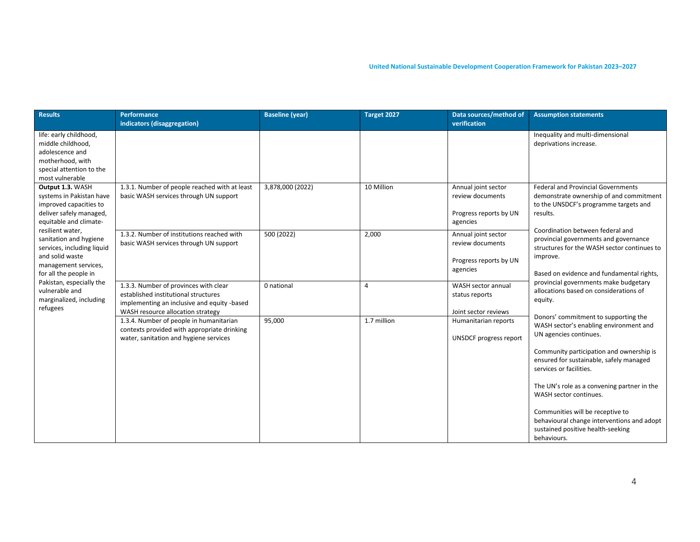| <b>Results</b>                                                                                                                                                                                                                                                              | <b>Performance</b><br>indicators (disaggregation)                                                                                                                 | <b>Baseline (year)</b> | Target 2027    | Data sources/method of<br>verification                                        | <b>Assumption statements</b>                                                                                                                                                      |
|-----------------------------------------------------------------------------------------------------------------------------------------------------------------------------------------------------------------------------------------------------------------------------|-------------------------------------------------------------------------------------------------------------------------------------------------------------------|------------------------|----------------|-------------------------------------------------------------------------------|-----------------------------------------------------------------------------------------------------------------------------------------------------------------------------------|
| life: early childhood,<br>middle childhood,<br>adolescence and<br>motherhood, with<br>special attention to the<br>most vulnerable                                                                                                                                           |                                                                                                                                                                   |                        |                |                                                                               | Inequality and multi-dimensional<br>deprivations increase.                                                                                                                        |
| Output 1.3. WASH<br>systems in Pakistan have<br>improved capacities to<br>deliver safely managed,<br>equitable and climate-<br>resilient water,<br>sanitation and hygiene<br>services, including liquid<br>and solid waste<br>management services,<br>for all the people in | 1.3.1. Number of people reached with at least<br>basic WASH services through UN support                                                                           | 3,878,000 (2022)       | 10 Million     | Annual joint sector<br>review documents<br>Progress reports by UN<br>agencies | <b>Federal and Provincial Governments</b><br>demonstrate ownership of and commitment<br>to the UNSDCF's programme targets and<br>results.                                         |
|                                                                                                                                                                                                                                                                             | 1.3.2. Number of institutions reached with<br>basic WASH services through UN support                                                                              | 500 (2022)             | 2,000          | Annual joint sector<br>review documents<br>Progress reports by UN<br>agencies | Coordination between federal and<br>provincial governments and governance<br>structures for the WASH sector continues to<br>improve.<br>Based on evidence and fundamental rights, |
| Pakistan, especially the<br>vulnerable and<br>marginalized, including<br>refugees                                                                                                                                                                                           | 1.3.3. Number of provinces with clear<br>established institutional structures<br>implementing an inclusive and equity -based<br>WASH resource allocation strategy | 0 national             | $\overline{4}$ | WASH sector annual<br>status reports<br>Joint sector reviews                  | provincial governments make budgetary<br>allocations based on considerations of<br>equity.                                                                                        |
|                                                                                                                                                                                                                                                                             | 1.3.4. Number of people in humanitarian<br>contexts provided with appropriate drinking<br>water, sanitation and hygiene services                                  | 95,000                 | 1.7 million    | Humanitarian reports<br><b>UNSDCF</b> progress report                         | Donors' commitment to supporting the<br>WASH sector's enabling environment and<br>UN agencies continues.                                                                          |
|                                                                                                                                                                                                                                                                             |                                                                                                                                                                   |                        |                |                                                                               | Community participation and ownership is<br>ensured for sustainable, safely managed<br>services or facilities.                                                                    |
|                                                                                                                                                                                                                                                                             |                                                                                                                                                                   |                        |                |                                                                               | The UN's role as a convening partner in the<br>WASH sector continues.                                                                                                             |
|                                                                                                                                                                                                                                                                             |                                                                                                                                                                   |                        |                |                                                                               | Communities will be receptive to<br>behavioural change interventions and adopt<br>sustained positive health-seeking<br>behaviours.                                                |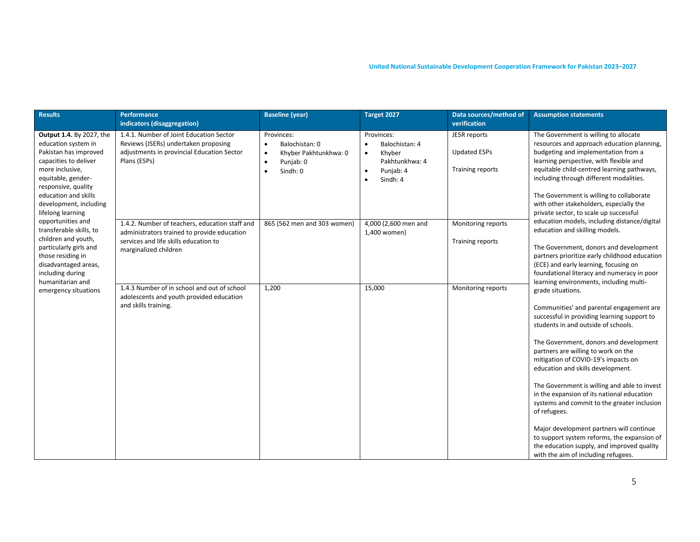| <b>Results</b>                                                                                                                                                                                                                                                                                                                                                                                                                                         | Performance<br>indicators (disaggregation)                                                                                                                                                                                       | <b>Baseline (year)</b>                                                                                                                                            | Target 2027                                                                                                                         | Data sources/method of<br>verification                                               | <b>Assumption statements</b>                                                                                                                                                                                                                                                                                                                                                                                                                                                                           |
|--------------------------------------------------------------------------------------------------------------------------------------------------------------------------------------------------------------------------------------------------------------------------------------------------------------------------------------------------------------------------------------------------------------------------------------------------------|----------------------------------------------------------------------------------------------------------------------------------------------------------------------------------------------------------------------------------|-------------------------------------------------------------------------------------------------------------------------------------------------------------------|-------------------------------------------------------------------------------------------------------------------------------------|--------------------------------------------------------------------------------------|--------------------------------------------------------------------------------------------------------------------------------------------------------------------------------------------------------------------------------------------------------------------------------------------------------------------------------------------------------------------------------------------------------------------------------------------------------------------------------------------------------|
| Output 1.4. By 2027, the<br>education system in<br>Pakistan has improved<br>capacities to deliver<br>more inclusive,<br>equitable, gender-<br>responsive, quality<br>education and skills<br>development, including<br>lifelong learning<br>opportunities and<br>transferable skills, to<br>children and youth,<br>particularly girls and<br>those residing in<br>disadvantaged areas,<br>including during<br>humanitarian and<br>emergency situations | 1.4.1. Number of Joint Education Sector<br>Reviews (JSERs) undertaken proposing<br>adjustments in provincial Education Sector<br>Plans (ESPs)<br>1.4.2. Number of teachers, education staff and                                  | Provinces:<br>Balochistan: 0<br>$\bullet$<br>Khyber Pakhtunkhwa: 0<br>$\bullet$<br>Punjab: 0<br>$\bullet$<br>Sindh: 0<br>$\bullet$<br>865 (562 men and 303 women) | Provinces:<br>Balochistan: 4<br>Khyber<br>$\bullet$<br>Pakhtunkhwa: 4<br>Punjab: 4<br>$\bullet$<br>Sindh: 4<br>4,000 (2,600 men and | <b>JESR</b> reports<br><b>Updated ESPs</b><br>Training reports<br>Monitoring reports | The Government is willing to allocate<br>resources and approach education planning,<br>budgeting and implementation from a<br>learning perspective, with flexible and<br>equitable child-centred learning pathways,<br>including through different modalities.<br>The Government is willing to collaborate<br>with other stakeholders, especially the<br>private sector, to scale up successful<br>education models, including distance/digital                                                        |
|                                                                                                                                                                                                                                                                                                                                                                                                                                                        | administrators trained to provide education<br>services and life skills education to<br>marginalized children<br>1.4.3 Number of in school and out of school<br>adolescents and youth provided education<br>and skills training. | 1,200                                                                                                                                                             | 1,400 women)<br>15,000                                                                                                              | Training reports<br>Monitoring reports                                               | education and skilling models.<br>The Government, donors and development<br>partners prioritize early childhood education<br>(ECE) and early learning, focusing on<br>foundational literacy and numeracy in poor<br>learning environments, including multi-<br>grade situations.<br>Communities' and parental engagement are<br>successful in providing learning support to<br>students in and outside of schools.                                                                                     |
|                                                                                                                                                                                                                                                                                                                                                                                                                                                        |                                                                                                                                                                                                                                  |                                                                                                                                                                   |                                                                                                                                     |                                                                                      | The Government, donors and development<br>partners are willing to work on the<br>mitigation of COVID-19's impacts on<br>education and skills development.<br>The Government is willing and able to invest<br>in the expansion of its national education<br>systems and commit to the greater inclusion<br>of refugees.<br>Major development partners will continue<br>to support system reforms, the expansion of<br>the education supply, and improved quality<br>with the aim of including refugees. |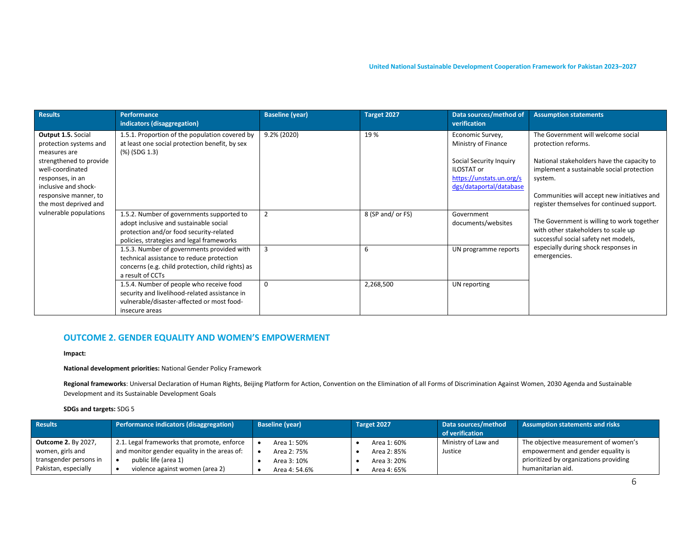| <b>Results</b>                                                                                                                                                                                                                      | <b>Performance</b><br>indicators (disaggregation)                                                                                                                           | <b>Baseline (year)</b> | Target 2027       | Data sources/method of<br>verification                                                                                                  | <b>Assumption statements</b>                                                                                                                                                                                   |
|-------------------------------------------------------------------------------------------------------------------------------------------------------------------------------------------------------------------------------------|-----------------------------------------------------------------------------------------------------------------------------------------------------------------------------|------------------------|-------------------|-----------------------------------------------------------------------------------------------------------------------------------------|----------------------------------------------------------------------------------------------------------------------------------------------------------------------------------------------------------------|
| Output 1.5. Social<br>protection systems and<br>measures are<br>strengthened to provide<br>well-coordinated<br>responses, in an<br>inclusive and shock-<br>responsive manner, to<br>the most deprived and<br>vulnerable populations | 1.5.1. Proportion of the population covered by<br>at least one social protection benefit, by sex<br>(%) (SDG 1.3)                                                           | 9.2% (2020)            | 19%               | Economic Survey,<br>Ministry of Finance<br>Social Security Inquiry<br>ILOSTAT or<br>https://unstats.un.org/s<br>dgs/dataportal/database | The Government will welcome social<br>protection reforms.<br>National stakeholders have the capacity to<br>implement a sustainable social protection<br>system.<br>Communities will accept new initiatives and |
|                                                                                                                                                                                                                                     | 1.5.2. Number of governments supported to<br>adopt inclusive and sustainable social<br>protection and/or food security-related<br>policies, strategies and legal frameworks | $\overline{2}$         | 8 (SP and/ or FS) | Government<br>documents/websites                                                                                                        | register themselves for continued support.<br>The Government is willing to work together<br>with other stakeholders to scale up<br>successful social safety net models,                                        |
|                                                                                                                                                                                                                                     | 1.5.3. Number of governments provided with<br>technical assistance to reduce protection<br>concerns (e.g. child protection, child rights) as<br>a result of CCTs            | 3                      | 6                 | UN programme reports                                                                                                                    | especially during shock responses in<br>emergencies.                                                                                                                                                           |
|                                                                                                                                                                                                                                     | 1.5.4. Number of people who receive food<br>security and livelihood-related assistance in<br>vulnerable/disaster-affected or most food-<br>insecure areas                   | $\Omega$               | 2,268,500         | UN reporting                                                                                                                            |                                                                                                                                                                                                                |

#### **OUTCOME 2. GENDER EQUALITY AND WOMEN'S EMPOWERMENT**

**Impact:**

#### **National development priorities:** National Gender Policy Framework

Regional frameworks: Universal Declaration of Human Rights, Beijing Platform for Action, Convention on the Elimination of all Forms of Discrimination Against Women, 2030 Agenda and Sustainable Development and its Sustainable Development Goals

**SDGs and targets:** SDG 5

| <b>Results</b>             | Performance indicators (disaggregation)      | <b>Baseline (year)</b> | Target 2027 | Data sources/method | <b>Assumption statements and risks</b> |
|----------------------------|----------------------------------------------|------------------------|-------------|---------------------|----------------------------------------|
|                            |                                              |                        |             | of verification     |                                        |
| <b>Outcome 2. By 2027,</b> | 2.1. Legal frameworks that promote, enforce  | Area 1:50%             | Area 1: 60% | Ministry of Law and | The objective measurement of women's   |
| women, girls and           | and monitor gender equality in the areas of: | Area 2: 75%            | Area 2: 85% | Justice             | empowerment and gender equality is     |
| transgender persons in     | public life (area 1)                         | Area 3: 10%            | Area 3: 20% |                     | prioritized by organizations providing |
| Pakistan, especially       | violence against women (area 2)              | Area 4: 54.6%          | Area 4: 65% |                     | humanitarian aid.                      |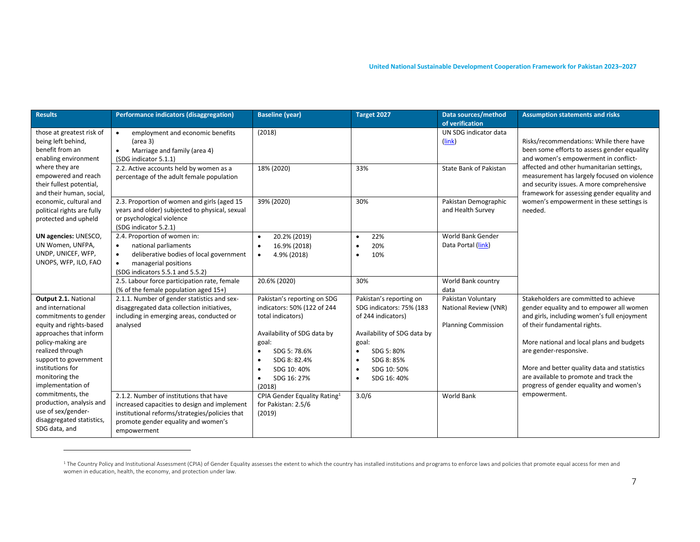| <b>Results</b>                                                                                | Performance indicators (disaggregation)                                                                                                                                                            | <b>Baseline (year)</b>                                                                        | Target 2027                                                                   | Data sources/method<br>of verification                                    | <b>Assumption statements and risks</b>                                                                                                                                               |
|-----------------------------------------------------------------------------------------------|----------------------------------------------------------------------------------------------------------------------------------------------------------------------------------------------------|-----------------------------------------------------------------------------------------------|-------------------------------------------------------------------------------|---------------------------------------------------------------------------|--------------------------------------------------------------------------------------------------------------------------------------------------------------------------------------|
| those at greatest risk of<br>being left behind,<br>benefit from an<br>enabling environment    | employment and economic benefits<br>$\bullet$<br>(area 3)<br>Marriage and family (area 4)<br>$\bullet$<br>(SDG indicator 5.1.1)                                                                    | (2018)                                                                                        |                                                                               | UN SDG indicator data<br>(link)                                           | Risks/recommendations: While there have<br>been some efforts to assess gender equality<br>and women's empowerment in conflict-                                                       |
| where they are<br>empowered and reach<br>their fullest potential,<br>and their human, social, | 2.2. Active accounts held by women as a<br>percentage of the adult female population                                                                                                               | 18% (2020)                                                                                    | 33%                                                                           | State Bank of Pakistan                                                    | affected and other humanitarian settings,<br>measurement has largely focused on violence<br>and security issues. A more comprehensive<br>framework for assessing gender equality and |
| economic, cultural and<br>political rights are fully<br>protected and upheld                  | 2.3. Proportion of women and girls (aged 15<br>years and older) subjected to physical, sexual<br>or psychological violence<br>(SDG indicator 5.2.1)                                                | 39% (2020)                                                                                    | 30%                                                                           | Pakistan Demographic<br>and Health Survey                                 | women's empowerment in these settings is<br>needed.                                                                                                                                  |
| UN agencies: UNESCO,<br>UN Women, UNFPA,<br>UNDP, UNICEF, WFP,<br>UNOPS, WFP, ILO, FAO        | 2.4. Proportion of women in:<br>national parliaments<br>$\bullet$<br>deliberative bodies of local government<br>$\bullet$<br>managerial positions<br>$\bullet$<br>(SDG indicators 5.5.1 and 5.5.2) | 20.2% (2019)<br>$\bullet$<br>16.9% (2018)<br>$\bullet$<br>4.9% (2018)<br>$\bullet$            | 22%<br>$\bullet$<br>20%<br>$\bullet$<br>10%<br>$\bullet$                      | World Bank Gender<br>Data Portal (link)                                   |                                                                                                                                                                                      |
|                                                                                               | 2.5. Labour force participation rate, female<br>(% of the female population aged 15+)                                                                                                              | 20.6% (2020)                                                                                  | 30%                                                                           | World Bank country<br>data                                                |                                                                                                                                                                                      |
| Output 2.1. National<br>and international<br>commitments to gender<br>equity and rights-based | 2.1.1. Number of gender statistics and sex-<br>disaggregated data collection initiatives,<br>including in emerging areas, conducted or<br>analysed                                                 | Pakistan's reporting on SDG<br>indicators: 50% (122 of 244<br>total indicators)               | Pakistan's reporting on<br>SDG indicators: 75% (183<br>of 244 indicators)     | Pakistan Voluntary<br>National Review (VNR)<br><b>Planning Commission</b> | Stakeholders are committed to achieve<br>gender equality and to empower all women<br>and girls, including women's full enjoyment<br>of their fundamental rights.                     |
| approaches that inform<br>policy-making are<br>realized through<br>support to government      |                                                                                                                                                                                                    | Availability of SDG data by<br>goal:<br>SDG 5:78.6%<br>SDG 8: 82.4%                           | Availability of SDG data by<br>goal:<br>SDG 5: 80%<br>$\bullet$<br>SDG 8: 85% |                                                                           | More national and local plans and budgets<br>are gender-responsive.                                                                                                                  |
| institutions for<br>monitoring the<br>implementation of<br>commitments, the                   | 2.1.2. Number of institutions that have                                                                                                                                                            | SDG 10: 40%<br>SDG 16: 27%<br>$\bullet$<br>(2018)<br>CPIA Gender Equality Rating <sup>1</sup> | SDG 10:50%<br>SDG 16: 40%<br>$\bullet$<br>3.0/6                               | World Bank                                                                | More and better quality data and statistics<br>are available to promote and track the<br>progress of gender equality and women's<br>empowerment.                                     |
| production, analysis and<br>use of sex/gender-<br>disaggregated statistics,<br>SDG data, and  | increased capacities to design and implement<br>institutional reforms/strategies/policies that<br>promote gender equality and women's<br>empowerment                                               | for Pakistan: 2.5/6<br>(2019)                                                                 |                                                                               |                                                                           |                                                                                                                                                                                      |

<sup>1</sup> The Country Policy and Institutional Assessment (CPIA) of Gender Equality assesses the extent to which the country has installed institutions and programs to enforce laws and policies that promote equal access for men women in education, health, the economy, and protection under law.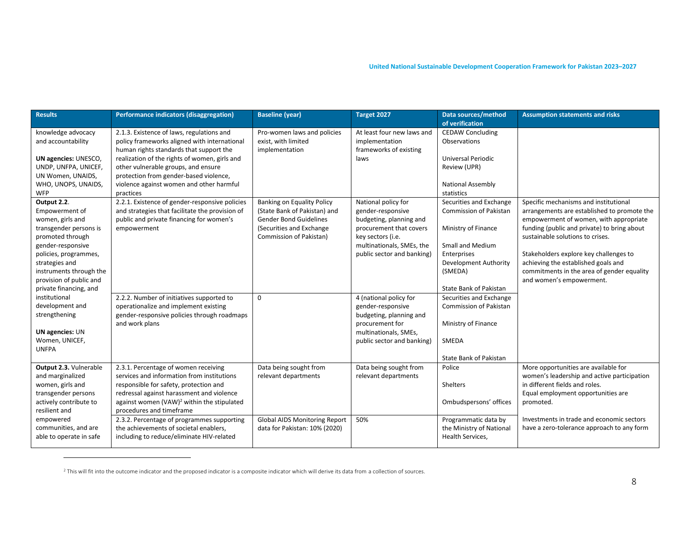| <b>Results</b>                                                                                                                   | Performance indicators (disaggregation)                                                                                                                                                                                                                         | <b>Baseline (year)</b>                                                                                                                             | Target 2027                                                                                                         | Data sources/method<br>of verification                                                                    | <b>Assumption statements and risks</b>                                                                                                                                                                            |
|----------------------------------------------------------------------------------------------------------------------------------|-----------------------------------------------------------------------------------------------------------------------------------------------------------------------------------------------------------------------------------------------------------------|----------------------------------------------------------------------------------------------------------------------------------------------------|---------------------------------------------------------------------------------------------------------------------|-----------------------------------------------------------------------------------------------------------|-------------------------------------------------------------------------------------------------------------------------------------------------------------------------------------------------------------------|
| knowledge advocacy<br>and accountability                                                                                         | 2.1.3. Existence of laws, regulations and<br>policy frameworks aligned with international<br>human rights standards that support the                                                                                                                            | Pro-women laws and policies<br>exist, with limited<br>implementation                                                                               | At least four new laws and<br>implementation<br>frameworks of existing                                              | <b>CEDAW Concluding</b><br>Observations                                                                   |                                                                                                                                                                                                                   |
| UN agencies: UNESCO,<br>UNDP, UNFPA, UNICEF,<br>UN Women, UNAIDS,<br>WHO, UNOPS, UNAIDS,                                         | realization of the rights of women, girls and<br>other vulnerable groups, and ensure<br>protection from gender-based violence,<br>violence against women and other harmful                                                                                      |                                                                                                                                                    | laws                                                                                                                | <b>Universal Periodic</b><br>Review (UPR)<br><b>National Assembly</b>                                     |                                                                                                                                                                                                                   |
| <b>WFP</b>                                                                                                                       | practices                                                                                                                                                                                                                                                       |                                                                                                                                                    |                                                                                                                     | statistics                                                                                                |                                                                                                                                                                                                                   |
| Output 2.2.<br>Empowerment of<br>women, girls and<br>transgender persons is<br>promoted through                                  | 2.2.1. Existence of gender-responsive policies<br>and strategies that facilitate the provision of<br>public and private financing for women's<br>empowerment                                                                                                    | Banking on Equality Policy<br>(State Bank of Pakistan) and<br><b>Gender Bond Guidelines</b><br>(Securities and Exchange<br>Commission of Pakistan) | National policy for<br>gender-responsive<br>budgeting, planning and<br>procurement that covers<br>key sectors (i.e. | Securities and Exchange<br>Commission of Pakistan<br>Ministry of Finance                                  | Specific mechanisms and institutional<br>arrangements are established to promote the<br>empowerment of women, with appropriate<br>funding (public and private) to bring about<br>sustainable solutions to crises. |
| gender-responsive<br>policies, programmes,<br>strategies and<br>instruments through the<br>provision of public and               |                                                                                                                                                                                                                                                                 |                                                                                                                                                    | multinationals, SMEs, the<br>public sector and banking)                                                             | Small and Medium<br>Enterprises<br><b>Development Authority</b><br>(SMEDA)                                | Stakeholders explore key challenges to<br>achieving the established goals and<br>commitments in the area of gender equality<br>and women's empowerment.                                                           |
| private financing, and<br>institutional<br>development and<br>strengthening<br><b>UN agencies: UN</b>                            | 2.2.2. Number of initiatives supported to<br>operationalize and implement existing<br>gender-responsive policies through roadmaps<br>and work plans                                                                                                             | $\mathbf 0$                                                                                                                                        | 4 (national policy for<br>gender-responsive<br>budgeting, planning and<br>procurement for<br>multinationals, SMEs,  | State Bank of Pakistan<br>Securities and Exchange<br><b>Commission of Pakistan</b><br>Ministry of Finance |                                                                                                                                                                                                                   |
| Women, UNICEF,<br><b>UNFPA</b>                                                                                                   |                                                                                                                                                                                                                                                                 |                                                                                                                                                    | public sector and banking)                                                                                          | SMEDA<br>State Bank of Pakistan                                                                           |                                                                                                                                                                                                                   |
| Output 2.3. Vulnerable<br>and marginalized<br>women, girls and<br>transgender persons<br>actively contribute to<br>resilient and | 2.3.1. Percentage of women receiving<br>services and information from institutions<br>responsible for safety, protection and<br>redressal against harassment and violence<br>against women (VAW) <sup>2</sup> within the stipulated<br>procedures and timeframe | Data being sought from<br>relevant departments                                                                                                     | Data being sought from<br>relevant departments                                                                      | Police<br>Shelters<br>Ombudspersons' offices                                                              | More opportunities are available for<br>women's leadership and active participation<br>in different fields and roles.<br>Equal employment opportunities are<br>promoted.                                          |
| empowered<br>communities, and are<br>able to operate in safe                                                                     | 2.3.2. Percentage of programmes supporting<br>the achievements of societal enablers,<br>including to reduce/eliminate HIV-related                                                                                                                               | Global AIDS Monitoring Report<br>data for Pakistan: 10% (2020)                                                                                     | 50%                                                                                                                 | Programmatic data by<br>the Ministry of National<br>Health Services,                                      | Investments in trade and economic sectors<br>have a zero-tolerance approach to any form                                                                                                                           |

<sup>&</sup>lt;sup>2</sup> This will fit into the outcome indicator and the proposed indicator is a composite indicator which will derive its data from a collection of sources.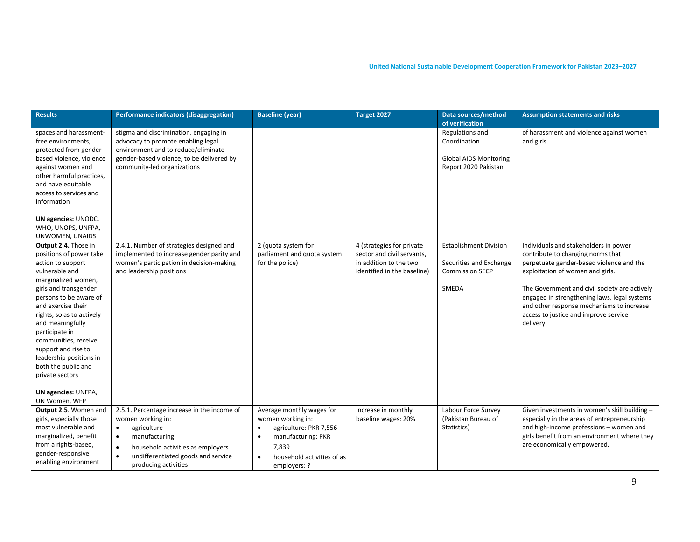| <b>Results</b>                                                                                                                                                                                                                                                                                                                                                                                                        | Performance indicators (disaggregation)                                                                                                                                                                                                                 | <b>Baseline (year)</b>                                                                                                                                                          | Target 2027                                                                                                      | Data sources/method<br>of verification                                                      | <b>Assumption statements and risks</b>                                                                                                                                                                                                                                                                                                                         |
|-----------------------------------------------------------------------------------------------------------------------------------------------------------------------------------------------------------------------------------------------------------------------------------------------------------------------------------------------------------------------------------------------------------------------|---------------------------------------------------------------------------------------------------------------------------------------------------------------------------------------------------------------------------------------------------------|---------------------------------------------------------------------------------------------------------------------------------------------------------------------------------|------------------------------------------------------------------------------------------------------------------|---------------------------------------------------------------------------------------------|----------------------------------------------------------------------------------------------------------------------------------------------------------------------------------------------------------------------------------------------------------------------------------------------------------------------------------------------------------------|
| spaces and harassment-<br>free environments,<br>protected from gender-<br>based violence, violence<br>against women and<br>other harmful practices,<br>and have equitable<br>access to services and<br>information<br>UN agencies: UNODC,<br>WHO, UNOPS, UNFPA,<br>UNWOMEN, UNAIDS                                                                                                                                    | stigma and discrimination, engaging in<br>advocacy to promote enabling legal<br>environment and to reduce/eliminate<br>gender-based violence, to be delivered by<br>community-led organizations                                                         |                                                                                                                                                                                 |                                                                                                                  | Regulations and<br>Coordination<br><b>Global AIDS Monitoring</b><br>Report 2020 Pakistan    | of harassment and violence against women<br>and girls.                                                                                                                                                                                                                                                                                                         |
| Output 2.4. Those in<br>positions of power take<br>action to support<br>vulnerable and<br>marginalized women,<br>girls and transgender<br>persons to be aware of<br>and exercise their<br>rights, so as to actively<br>and meaningfully<br>participate in<br>communities, receive<br>support and rise to<br>leadership positions in<br>both the public and<br>private sectors<br>UN agencies: UNFPA,<br>UN Women, WFP | 2.4.1. Number of strategies designed and<br>implemented to increase gender parity and<br>women's participation in decision-making<br>and leadership positions                                                                                           | 2 (quota system for<br>parliament and quota system<br>for the police)                                                                                                           | 4 (strategies for private<br>sector and civil servants,<br>in addition to the two<br>identified in the baseline) | <b>Establishment Division</b><br>Securities and Exchange<br><b>Commission SECP</b><br>SMEDA | Individuals and stakeholders in power<br>contribute to changing norms that<br>perpetuate gender-based violence and the<br>exploitation of women and girls.<br>The Government and civil society are actively<br>engaged in strengthening laws, legal systems<br>and other response mechanisms to increase<br>access to justice and improve service<br>delivery. |
| Output 2.5. Women and<br>girls, especially those<br>most vulnerable and<br>marginalized, benefit<br>from a rights-based,<br>gender-responsive<br>enabling environment                                                                                                                                                                                                                                                 | 2.5.1. Percentage increase in the income of<br>women working in:<br>agriculture<br>$\bullet$<br>manufacturing<br>$\bullet$<br>household activities as employers<br>$\bullet$<br>undifferentiated goods and service<br>$\bullet$<br>producing activities | Average monthly wages for<br>women working in:<br>agriculture: PKR 7,556<br>$\bullet$<br>manufacturing: PKR<br>7,839<br>household activities of as<br>$\bullet$<br>employers: ? | Increase in monthly<br>baseline wages: 20%                                                                       | Labour Force Survey<br>(Pakistan Bureau of<br>Statistics)                                   | Given investments in women's skill building -<br>especially in the areas of entrepreneurship<br>and high-income professions - women and<br>girls benefit from an environment where they<br>are economically empowered.                                                                                                                                         |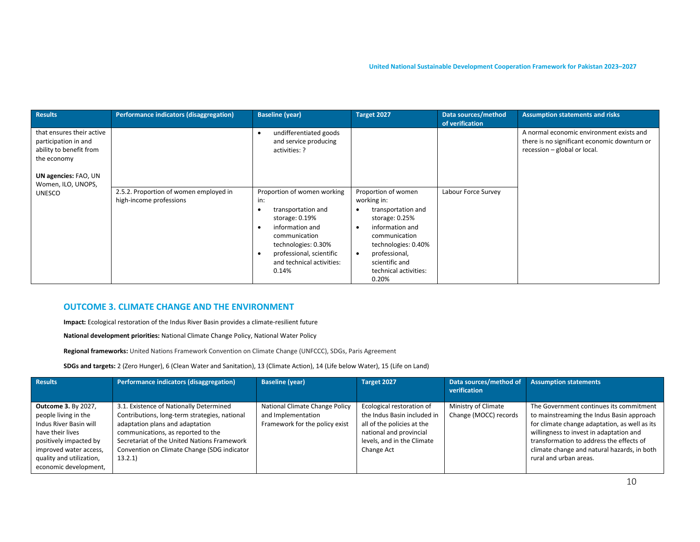| <b>Results</b>                                                                              | Performance indicators (disaggregation)                           | <b>Baseline (year)</b>                                                                                                                                              | Target 2027                                                                                                                                                            | Data sources/method<br>of verification | <b>Assumption statements and risks</b>                                                                                   |
|---------------------------------------------------------------------------------------------|-------------------------------------------------------------------|---------------------------------------------------------------------------------------------------------------------------------------------------------------------|------------------------------------------------------------------------------------------------------------------------------------------------------------------------|----------------------------------------|--------------------------------------------------------------------------------------------------------------------------|
| that ensures their active<br>participation in and<br>ability to benefit from<br>the economy |                                                                   | undifferentiated goods<br>and service producing<br>activities: ?                                                                                                    |                                                                                                                                                                        |                                        | A normal economic environment exists and<br>there is no significant economic downturn or<br>recession - global or local. |
| UN agencies: FAO, UN<br>Women, ILO, UNOPS,                                                  |                                                                   |                                                                                                                                                                     |                                                                                                                                                                        |                                        |                                                                                                                          |
| <b>UNESCO</b>                                                                               | 2.5.2. Proportion of women employed in<br>high-income professions | Proportion of women working<br>in:                                                                                                                                  | Proportion of women<br>working in:                                                                                                                                     | Labour Force Survey                    |                                                                                                                          |
|                                                                                             |                                                                   | transportation and<br>storage: $0.19%$<br>information and<br>communication<br>technologies: 0.30%<br>professional, scientific<br>and technical activities:<br>0.14% | transportation and<br>storage: $0.25%$<br>information and<br>communication<br>technologies: 0.40%<br>professional,<br>scientific and<br>technical activities:<br>0.20% |                                        |                                                                                                                          |

#### **OUTCOME 3. CLIMATE CHANGE AND THE ENVIRONMENT**

**Impact:** Ecological restoration of the Indus River Basin provides a climate-resilient future

**National development priorities:** National Climate Change Policy, National Water Policy

**Regional frameworks:** United Nations Framework Convention on Climate Change (UNFCCC), SDGs, Paris Agreement

**SDGs and targets:** 2 (Zero Hunger), 6 (Clean Water and Sanitation), 13 (Climate Action), 14 (Life below Water), 15 (Life on Land)

| <b>Results</b>                                                                                                                                                                                            | Performance indicators (disaggregation)                                                                                                                                                                                                                                   | <b>Baseline (year)</b>                                                                 | Target 2027                                                                                                                                                   | Data sources/method of<br>verification       | <b>Assumption statements</b>                                                                                                                                                                                                                                                                          |
|-----------------------------------------------------------------------------------------------------------------------------------------------------------------------------------------------------------|---------------------------------------------------------------------------------------------------------------------------------------------------------------------------------------------------------------------------------------------------------------------------|----------------------------------------------------------------------------------------|---------------------------------------------------------------------------------------------------------------------------------------------------------------|----------------------------------------------|-------------------------------------------------------------------------------------------------------------------------------------------------------------------------------------------------------------------------------------------------------------------------------------------------------|
| <b>Outcome 3. By 2027,</b><br>people living in the<br>Indus River Basin will<br>have their lives<br>positively impacted by<br>improved water access,<br>quality and utilization,<br>economic development, | 3.1. Existence of Nationally Determined<br>Contributions, long-term strategies, national<br>adaptation plans and adaptation<br>communications, as reported to the<br>Secretariat of the United Nations Framework<br>Convention on Climate Change (SDG indicator<br>13.2.1 | National Climate Change Policy<br>and Implementation<br>Framework for the policy exist | Ecological restoration of<br>the Indus Basin included in<br>all of the policies at the<br>national and provincial<br>levels, and in the Climate<br>Change Act | Ministry of Climate<br>Change (MOCC) records | The Government continues its commitment<br>to mainstreaming the Indus Basin approach<br>for climate change adaptation, as well as its<br>willingness to invest in adaptation and<br>transformation to address the effects of<br>climate change and natural hazards, in both<br>rural and urban areas. |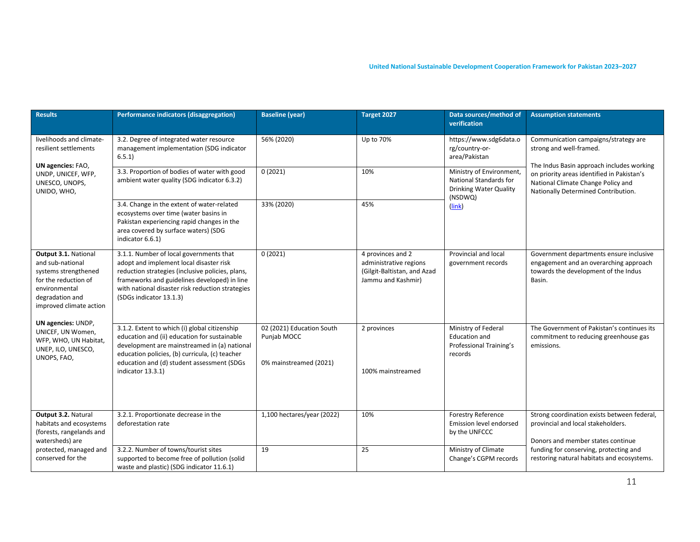| <b>Results</b>                                                                                                                                          | Performance indicators (disaggregation)                                                                                                                                                                                                                               | <b>Baseline (year)</b>                                             | Target 2027                                                                                      | Data sources/method of<br>verification                                                         | <b>Assumption statements</b>                                                                                                        |
|---------------------------------------------------------------------------------------------------------------------------------------------------------|-----------------------------------------------------------------------------------------------------------------------------------------------------------------------------------------------------------------------------------------------------------------------|--------------------------------------------------------------------|--------------------------------------------------------------------------------------------------|------------------------------------------------------------------------------------------------|-------------------------------------------------------------------------------------------------------------------------------------|
| livelihoods and climate-<br>resilient settlements<br>UN agencies: FAO,                                                                                  | 3.2. Degree of integrated water resource<br>management implementation (SDG indicator<br>6.5.1)                                                                                                                                                                        | 56% (2020)                                                         | Up to 70%                                                                                        | https://www.sdg6data.o<br>rg/country-or-<br>area/Pakistan                                      | Communication campaigns/strategy are<br>strong and well-framed.<br>The Indus Basin approach includes working                        |
| UNDP, UNICEF, WFP,<br>UNESCO, UNOPS,<br>UNIDO, WHO,                                                                                                     | 3.3. Proportion of bodies of water with good<br>ambient water quality (SDG indicator 6.3.2)                                                                                                                                                                           | 0(2021)                                                            | 10%                                                                                              | Ministry of Environment,<br>National Standards for<br><b>Drinking Water Quality</b><br>(NSDWQ) | on priority areas identified in Pakistan's<br>National Climate Change Policy and<br>Nationally Determined Contribution.             |
|                                                                                                                                                         | 3.4. Change in the extent of water-related<br>ecosystems over time (water basins in<br>Pakistan experiencing rapid changes in the<br>area covered by surface waters) (SDG<br>indicator 6.6.1)                                                                         | 33% (2020)                                                         | 45%                                                                                              | $(\overline{link})$                                                                            |                                                                                                                                     |
| Output 3.1. National<br>and sub-national<br>systems strengthened<br>for the reduction of<br>environmental<br>degradation and<br>improved climate action | 3.1.1. Number of local governments that<br>adopt and implement local disaster risk<br>reduction strategies (inclusive policies, plans,<br>frameworks and guidelines developed) in line<br>with national disaster risk reduction strategies<br>(SDGs indicator 13.1.3) | 0(2021)                                                            | 4 provinces and 2<br>administrative regions<br>(Gilgit-Baltistan, and Azad<br>Jammu and Kashmir) | Provincial and local<br>government records                                                     | Government departments ensure inclusive<br>engagement and an overarching approach<br>towards the development of the Indus<br>Basin. |
| UN agencies: UNDP,<br>UNICEF, UN Women,<br>WFP, WHO, UN Habitat,<br>UNEP, ILO, UNESCO,<br>UNOPS, FAO,                                                   | 3.1.2. Extent to which (i) global citizenship<br>education and (ii) education for sustainable<br>development are mainstreamed in (a) national<br>education policies, (b) curricula, (c) teacher<br>education and (d) student assessment (SDGs<br>indicator 13.3.1)    | 02 (2021) Education South<br>Punjab MOCC<br>0% mainstreamed (2021) | 2 provinces<br>100% mainstreamed                                                                 | Ministry of Federal<br><b>Education and</b><br>Professional Training's<br>records              | The Government of Pakistan's continues its<br>commitment to reducing greenhouse gas<br>emissions.                                   |
| Output 3.2. Natural<br>habitats and ecosystems<br>(forests, rangelands and<br>watersheds) are                                                           | 3.2.1. Proportionate decrease in the<br>deforestation rate                                                                                                                                                                                                            | 1,100 hectares/year (2022)                                         | 10%                                                                                              | <b>Forestry Reference</b><br>Emission level endorsed<br>by the UNFCCC                          | Strong coordination exists between federal,<br>provincial and local stakeholders.<br>Donors and member states continue              |
| protected, managed and<br>conserved for the                                                                                                             | 3.2.2. Number of towns/tourist sites<br>supported to become free of pollution (solid<br>waste and plastic) (SDG indicator 11.6.1)                                                                                                                                     | 19                                                                 | 25                                                                                               | Ministry of Climate<br>Change's CGPM records                                                   | funding for conserving, protecting and<br>restoring natural habitats and ecosystems.                                                |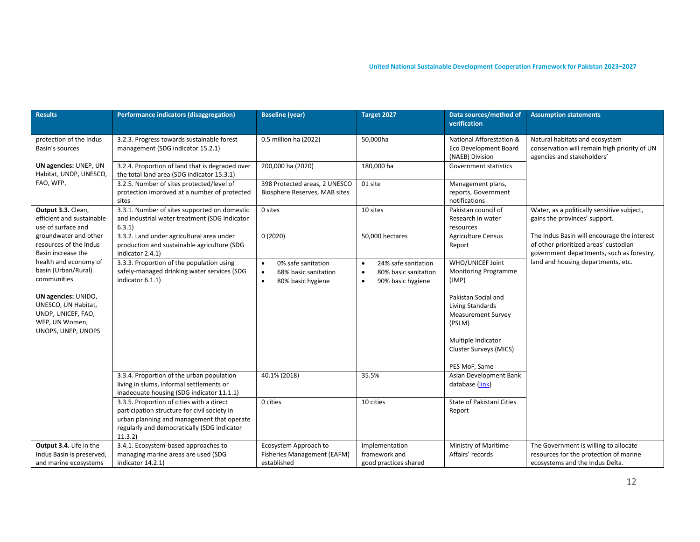| <b>Results</b>                                                                                           | Performance indicators (disaggregation)                                                                                                                                                          | <b>Baseline (year)</b>                                                                                 | Target 2027                                                                                             | Data sources/method of<br>verification                                                | <b>Assumption statements</b>                                                                                                      |
|----------------------------------------------------------------------------------------------------------|--------------------------------------------------------------------------------------------------------------------------------------------------------------------------------------------------|--------------------------------------------------------------------------------------------------------|---------------------------------------------------------------------------------------------------------|---------------------------------------------------------------------------------------|-----------------------------------------------------------------------------------------------------------------------------------|
| protection of the Indus<br>Basin's sources                                                               | 3.2.3. Progress towards sustainable forest<br>management (SDG indicator 15.2.1)                                                                                                                  | 0.5 million ha (2022)                                                                                  | 50,000ha                                                                                                | National Afforestation &<br>Eco Development Board<br>(NAEB) Division                  | Natural habitats and ecosystem<br>conservation will remain high priority of UN<br>agencies and stakeholders'                      |
| UN agencies: UNEP, UN<br>Habitat, UNDP, UNESCO,                                                          | 3.2.4. Proportion of land that is degraded over<br>the total land area (SDG indicator 15.3.1)                                                                                                    | 200,000 ha (2020)                                                                                      | 180,000 ha                                                                                              | Government statistics                                                                 |                                                                                                                                   |
| FAO, WFP,                                                                                                | 3.2.5. Number of sites protected/level of<br>protection improved at a number of protected<br>sites                                                                                               | 398 Protected areas, 2 UNESCO<br>Biosphere Reserves, MAB sites                                         | 01 site                                                                                                 | Management plans,<br>reports, Government<br>notifications                             |                                                                                                                                   |
| Output 3.3. Clean,<br>efficient and sustainable<br>use of surface and                                    | 3.3.1. Number of sites supported on domestic<br>and industrial water treatment (SDG indicator<br>6.3.1)                                                                                          | 0 sites                                                                                                | 10 sites                                                                                                | Pakistan council of<br>Research in water<br>resources                                 | Water, as a politically sensitive subject,<br>gains the provinces' support.                                                       |
| groundwater and other<br>resources of the Indus<br>Basin increase the                                    | 3.3.2. Land under agricultural area under<br>production and sustainable agriculture (SDG<br>indicator 2.4.1)                                                                                     | 0(2020)                                                                                                | 50,000 hectares                                                                                         | <b>Agriculture Census</b><br>Report                                                   | The Indus Basin will encourage the interest<br>of other prioritized areas' custodian<br>government departments, such as forestry, |
| health and economy of<br>basin (Urban/Rural)<br>communities                                              | 3.3.3. Proportion of the population using<br>safely-managed drinking water services (SDG<br>indicator 6.1.1)                                                                                     | 0% safe sanitation<br>$\bullet$<br>68% basic sanitation<br>$\bullet$<br>80% basic hygiene<br>$\bullet$ | 24% safe sanitation<br>$\bullet$<br>80% basic sanitation<br>$\bullet$<br>90% basic hygiene<br>$\bullet$ | WHO/UNICEF Joint<br><b>Monitoring Programme</b><br>(JMP)                              | land and housing departments, etc.                                                                                                |
| UN agencies: UNIDO,<br>UNESCO, UN Habitat,<br>UNDP, UNICEF, FAO,<br>WFP, UN Women,<br>UNOPS, UNEP, UNOPS |                                                                                                                                                                                                  |                                                                                                        |                                                                                                         | Pakistan Social and<br><b>Living Standards</b><br><b>Measurement Survey</b><br>(PSLM) |                                                                                                                                   |
|                                                                                                          |                                                                                                                                                                                                  |                                                                                                        |                                                                                                         | Multiple Indicator<br>Cluster Surveys (MICS)                                          |                                                                                                                                   |
|                                                                                                          |                                                                                                                                                                                                  |                                                                                                        |                                                                                                         | PES MoF, Same                                                                         |                                                                                                                                   |
|                                                                                                          | 3.3.4. Proportion of the urban population<br>living in slums, informal settlements or<br>inadequate housing (SDG indicator 11.1.1)                                                               | 40.1% (2018)                                                                                           | 35.5%                                                                                                   | Asian Development Bank<br>database (link)                                             |                                                                                                                                   |
|                                                                                                          | 3.3.5. Proportion of cities with a direct<br>participation structure for civil society in<br>urban planning and management that operate<br>regularly and democratically (SDG indicator<br>11.3.2 | 0 cities                                                                                               | 10 cities                                                                                               | State of Pakistani Cities<br>Report                                                   |                                                                                                                                   |
| Output 3.4. Life in the                                                                                  | 3.4.1. Ecosystem-based approaches to                                                                                                                                                             | Ecosystem Approach to                                                                                  | Implementation                                                                                          | Ministry of Maritime                                                                  | The Government is willing to allocate                                                                                             |
| Indus Basin is preserved,                                                                                | managing marine areas are used (SDG                                                                                                                                                              | Fisheries Management (EAFM)                                                                            | framework and                                                                                           | Affairs' records                                                                      | resources for the protection of marine                                                                                            |
| and marine ecosystems                                                                                    | indicator 14.2.1)                                                                                                                                                                                | established                                                                                            | good practices shared                                                                                   |                                                                                       | ecosystems and the Indus Delta.                                                                                                   |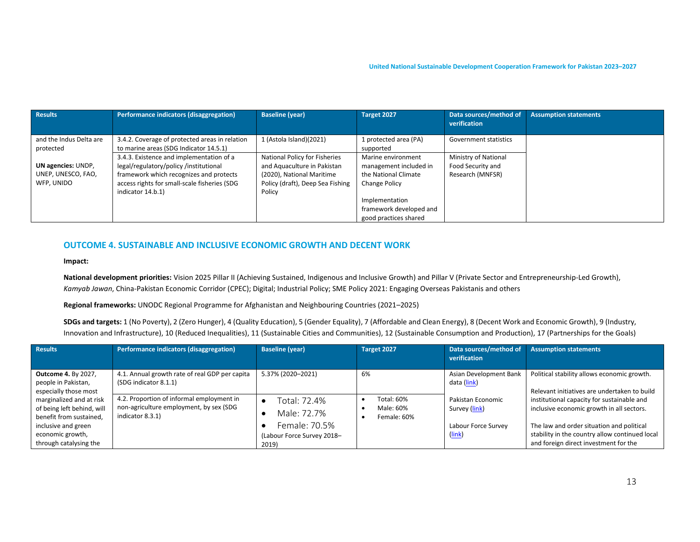| Results                 | Performance indicators (disaggregation)        | <b>Baseline (year)</b>           | Target 2027             | Data sources/method of       | <b>Assumption statements</b> |
|-------------------------|------------------------------------------------|----------------------------------|-------------------------|------------------------------|------------------------------|
|                         |                                                |                                  |                         | verification                 |                              |
| and the Indus Delta are | 3.4.2. Coverage of protected areas in relation | 1 (Astola Island)(2021)          | 1 protected area (PA)   | <b>Government statistics</b> |                              |
| protected               | to marine areas (SDG Indicator 14.5.1)         |                                  | supported               |                              |                              |
|                         | 3.4.3. Existence and implementation of a       | National Policy for Fisheries    | Marine environment      | Ministry of National         |                              |
| UN agencies: UNDP,      | legal/regulatory/policy/institutional          | and Aquaculture in Pakistan      | management included in  | Food Security and            |                              |
| UNEP, UNESCO, FAO,      | framework which recognizes and protects        | (2020), National Maritime        | the National Climate    | Research (MNFSR)             |                              |
| WFP, UNIDO              | access rights for small-scale fisheries (SDG   | Policy (draft), Deep Sea Fishing | Change Policy           |                              |                              |
|                         | indicator 14.b.1)                              | Policy                           |                         |                              |                              |
|                         |                                                |                                  | Implementation          |                              |                              |
|                         |                                                |                                  | framework developed and |                              |                              |
|                         |                                                |                                  | good practices shared   |                              |                              |

#### **OUTCOME 4. SUSTAINABLE AND INCLUSIVE ECONOMIC GROWTH AND DECENT WORK**

**Impact:** 

**National development priorities:** Vision 2025 Pillar II (Achieving Sustained, Indigenous and Inclusive Growth) and Pillar V (Private Sector and Entrepreneurship-Led Growth), *Kamyab Jawan*, China-Pakistan Economic Corridor (CPEC); Digital; Industrial Policy; SME Policy 2021: Engaging Overseas Pakistanis and others

**Regional frameworks:** UNODC Regional Programme for Afghanistan and Neighbouring Countries (2021–2025)

**SDGs and targets:** 1 (No Poverty), 2 (Zero Hunger), 4 (Quality Education), 5 (Gender Equality), 7 (Affordable and Clean Energy), 8 (Decent Work and Economic Growth), 9 (Industry, Innovation and Infrastructure), 10 (Reduced Inequalities), 11 (Sustainable Cities and Communities), 12 (Sustainable Consumption and Production), 17 (Partnerships for the Goals)

| <b>Results</b>                                                                                                                                         | Performance indicators (disaggregation)                                                                  | <b>Baseline (year)</b>                                                              | Target 2027                            | Data sources/method of<br>verification                              | <b>Assumption statements</b>                                                                                                                                                                                                    |
|--------------------------------------------------------------------------------------------------------------------------------------------------------|----------------------------------------------------------------------------------------------------------|-------------------------------------------------------------------------------------|----------------------------------------|---------------------------------------------------------------------|---------------------------------------------------------------------------------------------------------------------------------------------------------------------------------------------------------------------------------|
| <b>Outcome 4. By 2027,</b><br>people in Pakistan,<br>especially those most                                                                             | 4.1. Annual growth rate of real GDP per capita<br>(SDG indicator 8.1.1)                                  | 5.37% (2020-2021)                                                                   | 6%                                     | Asian Development Bank<br>data (link)                               | Political stability allows economic growth.<br>Relevant initiatives are undertaken to build                                                                                                                                     |
| marginalized and at risk<br>of being left behind, will<br>benefit from sustained,<br>inclusive and green<br>economic growth,<br>through catalysing the | 4.2. Proportion of informal employment in<br>non-agriculture employment, by sex (SDG<br>indicator 8.3.1) | Total: 72.4%<br>Male: 72.7%<br>Female: 70.5%<br>(Labour Force Survey 2018-<br>2019) | Total: 60%<br>Male: 60%<br>Female: 60% | Pakistan Economic<br>Survey (link)<br>Labour Force Survey<br>(link) | institutional capacity for sustainable and<br>inclusive economic growth in all sectors.<br>The law and order situation and political<br>stability in the country allow continued local<br>and foreign direct investment for the |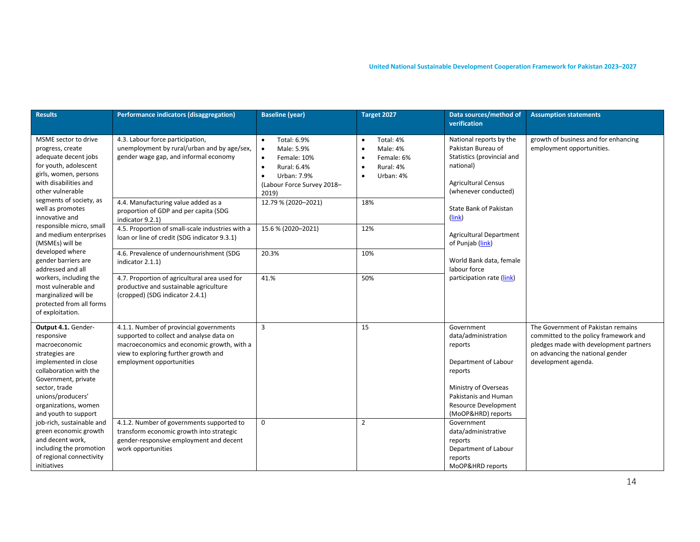| <b>Results</b>                                                                                                                                                  | Performance indicators (disaggregation)                                                                                                                                                               | <b>Baseline (year)</b>                                                                                                                                                         | Target 2027                                                                                          | Data sources/method of<br>verification                                                                                                         | <b>Assumption statements</b>                                                                                                                                                     |
|-----------------------------------------------------------------------------------------------------------------------------------------------------------------|-------------------------------------------------------------------------------------------------------------------------------------------------------------------------------------------------------|--------------------------------------------------------------------------------------------------------------------------------------------------------------------------------|------------------------------------------------------------------------------------------------------|------------------------------------------------------------------------------------------------------------------------------------------------|----------------------------------------------------------------------------------------------------------------------------------------------------------------------------------|
| MSME sector to drive<br>progress, create<br>adequate decent jobs<br>for youth, adolescent<br>girls, women, persons<br>with disabilities and<br>other vulnerable | 4.3. Labour force participation,<br>unemployment by rural/urban and by age/sex,<br>gender wage gap, and informal economy                                                                              | Total: 6.9%<br>$\bullet$<br>Male: 5.9%<br>$\bullet$<br>Female: 10%<br>$\bullet$<br>Rural: 6.4%<br>$\bullet$<br>Urban: 7.9%<br>$\bullet$<br>(Labour Force Survey 2018-<br>2019) | Total: 4%<br>$\bullet$<br>Male: 4%<br>$\bullet$<br>Female: 6%<br>Rural: 4%<br>Urban: 4%<br>$\bullet$ | National reports by the<br>Pakistan Bureau of<br>Statistics (provincial and<br>national)<br><b>Agricultural Census</b><br>(whenever conducted) | growth of business and for enhancing<br>employment opportunities.                                                                                                                |
| segments of society, as<br>well as promotes<br>innovative and                                                                                                   | 4.4. Manufacturing value added as a<br>proportion of GDP and per capita (SDG<br>indicator 9.2.1)                                                                                                      | 12.79 % (2020-2021)                                                                                                                                                            | 18%                                                                                                  | <b>State Bank of Pakistan</b><br>(link)                                                                                                        |                                                                                                                                                                                  |
| responsible micro, small<br>and medium enterprises<br>(MSMEs) will be                                                                                           | 4.5. Proportion of small-scale industries with a<br>loan or line of credit (SDG indicator 9.3.1)                                                                                                      | 15.6 % (2020-2021)                                                                                                                                                             | 12%                                                                                                  | <b>Agricultural Department</b><br>of Punjab (link)                                                                                             |                                                                                                                                                                                  |
| developed where<br>gender barriers are<br>addressed and all                                                                                                     | 4.6. Prevalence of undernourishment (SDG<br>indicator 2.1.1)                                                                                                                                          | 20.3%                                                                                                                                                                          | 10%                                                                                                  | World Bank data, female<br>labour force                                                                                                        |                                                                                                                                                                                  |
| workers, including the<br>most vulnerable and<br>marginalized will be<br>protected from all forms<br>of exploitation.                                           | 4.7. Proportion of agricultural area used for<br>productive and sustainable agriculture<br>(cropped) (SDG indicator 2.4.1)                                                                            | 41.%                                                                                                                                                                           | 50%                                                                                                  | participation rate (link)                                                                                                                      |                                                                                                                                                                                  |
| Output 4.1. Gender-<br>responsive<br>macroeconomic<br>strategies are<br>implemented in close<br>collaboration with the<br>Government, private<br>sector, trade  | 4.1.1. Number of provincial governments<br>supported to collect and analyse data on<br>macroeconomics and economic growth, with a<br>view to exploring further growth and<br>employment opportunities | $\overline{3}$                                                                                                                                                                 | 15                                                                                                   | Government<br>data/administration<br>reports<br>Department of Labour<br>reports<br>Ministry of Overseas                                        | The Government of Pakistan remains<br>committed to the policy framework and<br>pledges made with development partners<br>on advancing the national gender<br>development agenda. |
| unions/producers'<br>organizations, women<br>and youth to support                                                                                               |                                                                                                                                                                                                       |                                                                                                                                                                                |                                                                                                      | Pakistanis and Human<br><b>Resource Development</b><br>(MoOP&HRD) reports                                                                      |                                                                                                                                                                                  |
| job-rich, sustainable and<br>green economic growth<br>and decent work,<br>including the promotion<br>of regional connectivity<br>initiatives                    | 4.1.2. Number of governments supported to<br>transform economic growth into strategic<br>gender-responsive employment and decent<br>work opportunities                                                | $\mathbf 0$                                                                                                                                                                    | $\overline{2}$                                                                                       | Government<br>data/administrative<br>reports<br>Department of Labour<br>reports<br>MoOP&HRD reports                                            |                                                                                                                                                                                  |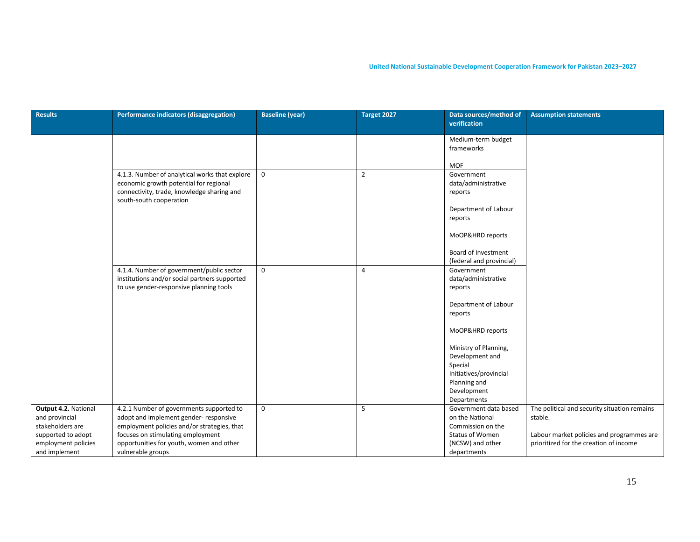| <b>Results</b>                       | <b>Performance indicators (disaggregation)</b>                                             | <b>Baseline (year)</b> | Target 2027    | Data sources/method of            | <b>Assumption statements</b>                 |
|--------------------------------------|--------------------------------------------------------------------------------------------|------------------------|----------------|-----------------------------------|----------------------------------------------|
|                                      |                                                                                            |                        |                | verification                      |                                              |
|                                      |                                                                                            |                        |                | Medium-term budget                |                                              |
|                                      |                                                                                            |                        |                | frameworks                        |                                              |
|                                      |                                                                                            |                        |                | <b>MOF</b>                        |                                              |
|                                      | 4.1.3. Number of analytical works that explore                                             | $\mathbf 0$            | $\overline{2}$ | Government                        |                                              |
|                                      | economic growth potential for regional<br>connectivity, trade, knowledge sharing and       |                        |                | data/administrative<br>reports    |                                              |
|                                      | south-south cooperation                                                                    |                        |                | Department of Labour              |                                              |
|                                      |                                                                                            |                        |                | reports                           |                                              |
|                                      |                                                                                            |                        |                | MoOP&HRD reports                  |                                              |
|                                      |                                                                                            |                        |                | Board of Investment               |                                              |
|                                      |                                                                                            |                        |                | (federal and provincial)          |                                              |
|                                      | 4.1.4. Number of government/public sector<br>institutions and/or social partners supported | $\mathbf 0$            | $\overline{4}$ | Government<br>data/administrative |                                              |
|                                      | to use gender-responsive planning tools                                                    |                        |                | reports                           |                                              |
|                                      |                                                                                            |                        |                |                                   |                                              |
|                                      |                                                                                            |                        |                | Department of Labour<br>reports   |                                              |
|                                      |                                                                                            |                        |                |                                   |                                              |
|                                      |                                                                                            |                        |                | MoOP&HRD reports                  |                                              |
|                                      |                                                                                            |                        |                | Ministry of Planning,             |                                              |
|                                      |                                                                                            |                        |                | Development and                   |                                              |
|                                      |                                                                                            |                        |                | Special<br>Initiatives/provincial |                                              |
|                                      |                                                                                            |                        |                | Planning and                      |                                              |
|                                      |                                                                                            |                        |                | Development                       |                                              |
|                                      |                                                                                            |                        |                | Departments                       |                                              |
| Output 4.2. National                 | 4.2.1 Number of governments supported to                                                   | $\mathbf 0$            | 5              | Government data based             | The political and security situation remains |
| and provincial                       | adopt and implement gender- responsive                                                     |                        |                | on the National                   | stable.                                      |
| stakeholders are                     | employment policies and/or strategies, that                                                |                        |                | Commission on the                 |                                              |
| supported to adopt                   | focuses on stimulating employment                                                          |                        |                | Status of Women                   | Labour market policies and programmes are    |
| employment policies<br>and implement | opportunities for youth, women and other<br>vulnerable groups                              |                        |                | (NCSW) and other<br>departments   | prioritized for the creation of income       |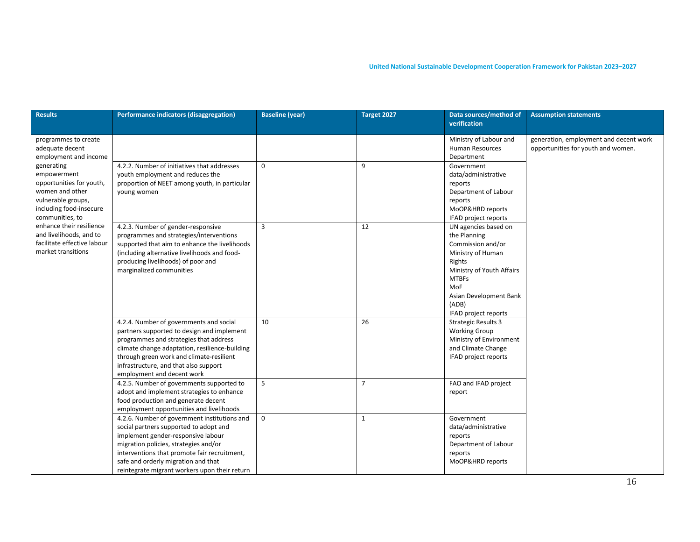| <b>Results</b>                                                                                                                                                                                                                                           | Performance indicators (disaggregation)                                                                                                                                                                                                                                                                       | <b>Baseline (year)</b> | Target 2027    | Data sources/method of<br>verification                                                                                                                                                                  | <b>Assumption statements</b>                                                 |
|----------------------------------------------------------------------------------------------------------------------------------------------------------------------------------------------------------------------------------------------------------|---------------------------------------------------------------------------------------------------------------------------------------------------------------------------------------------------------------------------------------------------------------------------------------------------------------|------------------------|----------------|---------------------------------------------------------------------------------------------------------------------------------------------------------------------------------------------------------|------------------------------------------------------------------------------|
| programmes to create<br>adequate decent<br>employment and income                                                                                                                                                                                         |                                                                                                                                                                                                                                                                                                               |                        |                | Ministry of Labour and<br><b>Human Resources</b><br>Department                                                                                                                                          | generation, employment and decent work<br>opportunities for youth and women. |
| generating<br>empowerment<br>opportunities for youth,<br>women and other<br>vulnerable groups,<br>including food-insecure<br>communities, to<br>enhance their resilience<br>and livelihoods, and to<br>facilitate effective labour<br>market transitions | 4.2.2. Number of initiatives that addresses<br>youth employment and reduces the<br>proportion of NEET among youth, in particular<br>young women                                                                                                                                                               | $\mathbf 0$            | 9              | Government<br>data/administrative<br>reports<br>Department of Labour<br>reports<br>MoOP&HRD reports<br>IFAD project reports                                                                             |                                                                              |
|                                                                                                                                                                                                                                                          | 4.2.3. Number of gender-responsive<br>programmes and strategies/interventions<br>supported that aim to enhance the livelihoods<br>(including alternative livelihoods and food-<br>producing livelihoods) of poor and<br>marginalized communities                                                              | $\overline{3}$         | 12             | UN agencies based on<br>the Planning<br>Commission and/or<br>Ministry of Human<br>Rights<br>Ministry of Youth Affairs<br><b>MTBFs</b><br>MoF<br>Asian Development Bank<br>(ADB)<br>IFAD project reports |                                                                              |
|                                                                                                                                                                                                                                                          | 4.2.4. Number of governments and social<br>partners supported to design and implement<br>programmes and strategies that address<br>climate change adaptation, resilience-building<br>through green work and climate-resilient<br>infrastructure, and that also support<br>employment and decent work          | 10                     | 26             | <b>Strategic Results 3</b><br><b>Working Group</b><br>Ministry of Environment<br>and Climate Change<br>IFAD project reports                                                                             |                                                                              |
|                                                                                                                                                                                                                                                          | 4.2.5. Number of governments supported to<br>adopt and implement strategies to enhance<br>food production and generate decent<br>employment opportunities and livelihoods                                                                                                                                     | 5                      | $\overline{7}$ | FAO and IFAD project<br>report                                                                                                                                                                          |                                                                              |
|                                                                                                                                                                                                                                                          | 4.2.6. Number of government institutions and<br>social partners supported to adopt and<br>implement gender-responsive labour<br>migration policies, strategies and/or<br>interventions that promote fair recruitment,<br>safe and orderly migration and that<br>reintegrate migrant workers upon their return | $\mathbf 0$            | $\mathbf{1}$   | Government<br>data/administrative<br>reports<br>Department of Labour<br>reports<br>MoOP&HRD reports                                                                                                     |                                                                              |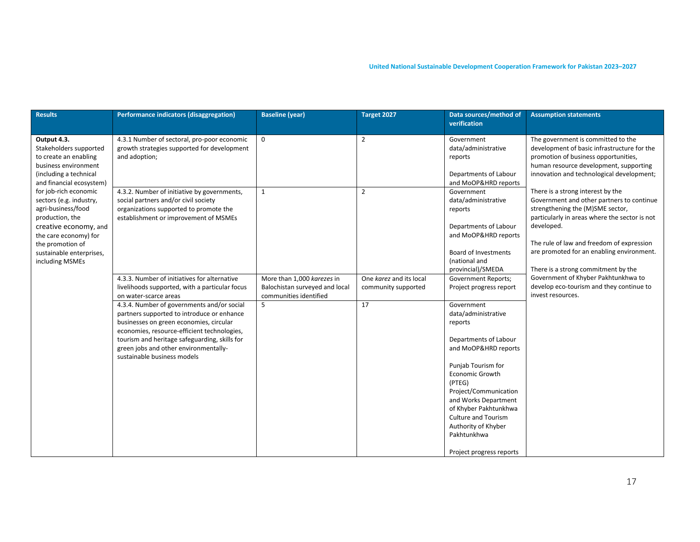| <b>Results</b>                                                                                                                                                                                                                                                                                                                                                 | Performance indicators (disaggregation)                                                                                                                                                                                                                                                                     | <b>Baseline (year)</b>                                                                 | Target 2027                                    | Data sources/method of<br>verification                                                                                                                                                                                                                                                                                     | <b>Assumption statements</b>                                                                                                                                                                                                                                                                                       |
|----------------------------------------------------------------------------------------------------------------------------------------------------------------------------------------------------------------------------------------------------------------------------------------------------------------------------------------------------------------|-------------------------------------------------------------------------------------------------------------------------------------------------------------------------------------------------------------------------------------------------------------------------------------------------------------|----------------------------------------------------------------------------------------|------------------------------------------------|----------------------------------------------------------------------------------------------------------------------------------------------------------------------------------------------------------------------------------------------------------------------------------------------------------------------------|--------------------------------------------------------------------------------------------------------------------------------------------------------------------------------------------------------------------------------------------------------------------------------------------------------------------|
| Output 4.3.<br>Stakeholders supported<br>to create an enabling<br>business environment<br>(including a technical<br>and financial ecosystem)<br>for job-rich economic<br>sectors (e.g. industry,<br>agri-business/food<br>production, the<br>creative economy, and<br>the care economy) for<br>the promotion of<br>sustainable enterprises,<br>including MSMEs | 4.3.1 Number of sectoral, pro-poor economic<br>growth strategies supported for development<br>and adoption;                                                                                                                                                                                                 | $\mathbf 0$                                                                            | $\overline{2}$                                 | Government<br>data/administrative<br>reports<br>Departments of Labour<br>and MoOP&HRD reports                                                                                                                                                                                                                              | The government is committed to the<br>development of basic infrastructure for the<br>promotion of business opportunities,<br>human resource development, supporting<br>innovation and technological development;                                                                                                   |
|                                                                                                                                                                                                                                                                                                                                                                | 4.3.2. Number of initiative by governments,<br>social partners and/or civil society<br>organizations supported to promote the<br>establishment or improvement of MSMEs                                                                                                                                      | $\mathbf 1$                                                                            | $\overline{2}$                                 | Government<br>data/administrative<br>reports<br>Departments of Labour<br>and MoOP&HRD reports<br><b>Board of Investments</b><br>(national and<br>provincial)/SMEDA                                                                                                                                                         | There is a strong interest by the<br>Government and other partners to continue<br>strengthening the (M)SME sector,<br>particularly in areas where the sector is not<br>developed.<br>The rule of law and freedom of expression<br>are promoted for an enabling environment.<br>There is a strong commitment by the |
|                                                                                                                                                                                                                                                                                                                                                                | 4.3.3. Number of initiatives for alternative<br>livelihoods supported, with a particular focus<br>on water-scarce areas                                                                                                                                                                                     | More than 1,000 karezes in<br>Balochistan surveyed and local<br>communities identified | One karez and its local<br>community supported | <b>Government Reports;</b><br>Project progress report                                                                                                                                                                                                                                                                      | Government of Khyber Pakhtunkhwa to<br>develop eco-tourism and they continue to<br>invest resources.                                                                                                                                                                                                               |
|                                                                                                                                                                                                                                                                                                                                                                | 4.3.4. Number of governments and/or social<br>partners supported to introduce or enhance<br>businesses on green economies, circular<br>economies, resource-efficient technologies,<br>tourism and heritage safeguarding, skills for<br>green jobs and other environmentally-<br>sustainable business models | 5                                                                                      | 17                                             | Government<br>data/administrative<br>reports<br>Departments of Labour<br>and MoOP&HRD reports<br>Punjab Tourism for<br>Economic Growth<br>(PTEG)<br>Project/Communication<br>and Works Department<br>of Khyber Pakhtunkhwa<br><b>Culture and Tourism</b><br>Authority of Khyber<br>Pakhtunkhwa<br>Project progress reports |                                                                                                                                                                                                                                                                                                                    |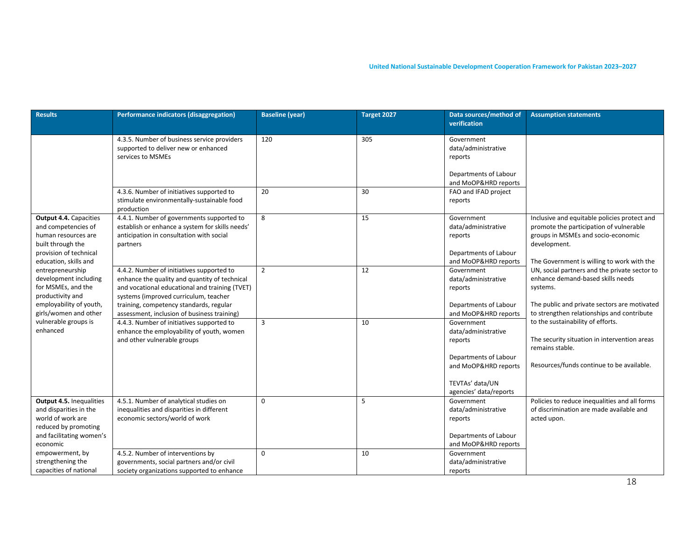| <b>Results</b>                                                                                                                                      | Performance indicators (disaggregation)                                                                                                                                                                                                                                         | <b>Baseline (year)</b> | Target 2027 | Data sources/method of<br>verification                                                                                                     | <b>Assumption statements</b>                                                                                                                                                                 |
|-----------------------------------------------------------------------------------------------------------------------------------------------------|---------------------------------------------------------------------------------------------------------------------------------------------------------------------------------------------------------------------------------------------------------------------------------|------------------------|-------------|--------------------------------------------------------------------------------------------------------------------------------------------|----------------------------------------------------------------------------------------------------------------------------------------------------------------------------------------------|
|                                                                                                                                                     | 4.3.5. Number of business service providers<br>supported to deliver new or enhanced<br>services to MSMEs<br>4.3.6. Number of initiatives supported to                                                                                                                           | 120<br>20              | 305<br>30   | Government<br>data/administrative<br>reports<br>Departments of Labour<br>and MoOP&HRD reports<br>FAO and IFAD project                      |                                                                                                                                                                                              |
|                                                                                                                                                     | stimulate environmentally-sustainable food<br>production                                                                                                                                                                                                                        |                        |             | reports                                                                                                                                    |                                                                                                                                                                                              |
| <b>Output 4.4. Capacities</b><br>and competencies of<br>human resources are<br>built through the<br>provision of technical<br>education, skills and | 4.4.1. Number of governments supported to<br>establish or enhance a system for skills needs'<br>anticipation in consultation with social<br>partners                                                                                                                            | 8                      | 15          | Government<br>data/administrative<br>reports<br>Departments of Labour<br>and MoOP&HRD reports                                              | Inclusive and equitable policies protect and<br>promote the participation of vulnerable<br>groups in MSMEs and socio-economic<br>development.<br>The Government is willing to work with the  |
| entrepreneurship<br>development including<br>for MSMEs, and the<br>productivity and<br>employability of youth,<br>girls/women and other             | 4.4.2. Number of initiatives supported to<br>enhance the quality and quantity of technical<br>and vocational educational and training (TVET)<br>systems (improved curriculum, teacher<br>training, competency standards, regular<br>assessment, inclusion of business training) | $\overline{2}$         | 12          | Government<br>data/administrative<br>reports<br>Departments of Labour<br>and MoOP&HRD reports                                              | UN, social partners and the private sector to<br>enhance demand-based skills needs<br>systems.<br>The public and private sectors are motivated<br>to strengthen relationships and contribute |
| vulnerable groups is<br>enhanced                                                                                                                    | 4.4.3. Number of initiatives supported to<br>enhance the employability of youth, women<br>and other vulnerable groups                                                                                                                                                           | 3                      | 10          | Government<br>data/administrative<br>reports<br>Departments of Labour<br>and MoOP&HRD reports<br>TEVTAs' data/UN<br>agencies' data/reports | to the sustainability of efforts.<br>The security situation in intervention areas<br>remains stable.<br>Resources/funds continue to be available.                                            |
| Output 4.5. Inequalities<br>and disparities in the<br>world of work are<br>reduced by promoting<br>and facilitating women's<br>economic             | 4.5.1. Number of analytical studies on<br>inequalities and disparities in different<br>economic sectors/world of work                                                                                                                                                           | 0                      | 5           | Government<br>data/administrative<br>reports<br>Departments of Labour<br>and MoOP&HRD reports                                              | Policies to reduce inequalities and all forms<br>of discrimination are made available and<br>acted upon.                                                                                     |
| empowerment, by<br>strengthening the<br>capacities of national                                                                                      | 4.5.2. Number of interventions by<br>governments, social partners and/or civil<br>society organizations supported to enhance                                                                                                                                                    | $\Omega$               | 10          | Government<br>data/administrative<br>reports                                                                                               |                                                                                                                                                                                              |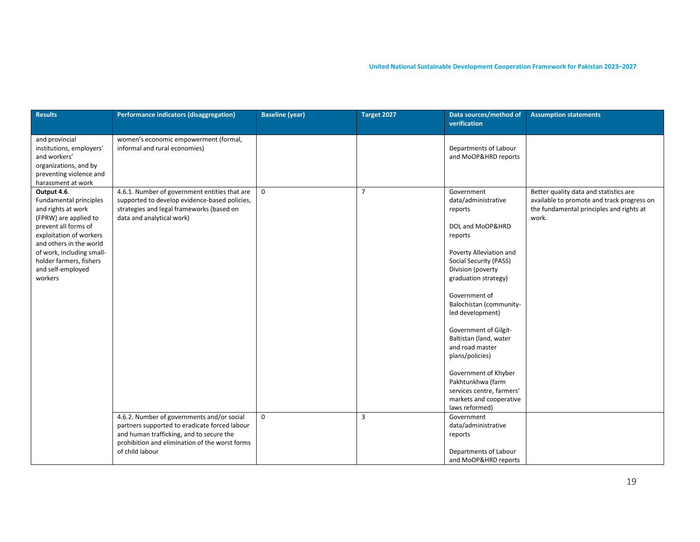| <b>Results</b>                                                                                                                                                                                                                                             | Performance indicators (disaggregation)                                                                                                                                                                      | <b>Baseline (year)</b> | Target 2027    | Data sources/method of<br>verification                                                                                                                                                                                                                                                                                                                                                                                                                        | <b>Assumption statements</b>                                                                                                              |
|------------------------------------------------------------------------------------------------------------------------------------------------------------------------------------------------------------------------------------------------------------|--------------------------------------------------------------------------------------------------------------------------------------------------------------------------------------------------------------|------------------------|----------------|---------------------------------------------------------------------------------------------------------------------------------------------------------------------------------------------------------------------------------------------------------------------------------------------------------------------------------------------------------------------------------------------------------------------------------------------------------------|-------------------------------------------------------------------------------------------------------------------------------------------|
| and provincial<br>institutions, employers'<br>and workers'<br>organizations, and by<br>preventing violence and<br>harassment at work                                                                                                                       | women's economic empowerment (formal,<br>informal and rural economies)                                                                                                                                       |                        |                | Departments of Labour<br>and MoOP&HRD reports                                                                                                                                                                                                                                                                                                                                                                                                                 |                                                                                                                                           |
| Output 4.6.<br>Fundamental principles<br>and rights at work<br>(FPRW) are applied to<br>prevent all forms of<br>exploitation of workers<br>and others in the world<br>of work, including small-<br>holder farmers, fishers<br>and self-employed<br>workers | 4.6.1. Number of government entities that are<br>supported to develop evidence-based policies,<br>strategies and legal frameworks (based on<br>data and analytical work)                                     | $\mathbf 0$            | $\overline{7}$ | Government<br>data/administrative<br>reports<br>DOL and MoOP&HRD<br>reports<br>Poverty Alleviation and<br>Social Security (PASS)<br>Division (poverty<br>graduation strategy)<br>Government of<br>Balochistan (community-<br>led development)<br>Government of Gilgit-<br>Baltistan (land, water<br>and road master<br>plans/policies)<br>Government of Khyber<br>Pakhtunkhwa (farm<br>services centre, farmers'<br>markets and cooperative<br>laws reformed) | Better quality data and statistics are<br>available to promote and track progress on<br>the fundamental principles and rights at<br>work. |
|                                                                                                                                                                                                                                                            | 4.6.2. Number of governments and/or social<br>partners supported to eradicate forced labour<br>and human trafficking, and to secure the<br>prohibition and elimination of the worst forms<br>of child labour | $\mathbf 0$            | $\overline{3}$ | Government<br>data/administrative<br>reports<br>Departments of Labour<br>and MoOP&HRD reports                                                                                                                                                                                                                                                                                                                                                                 |                                                                                                                                           |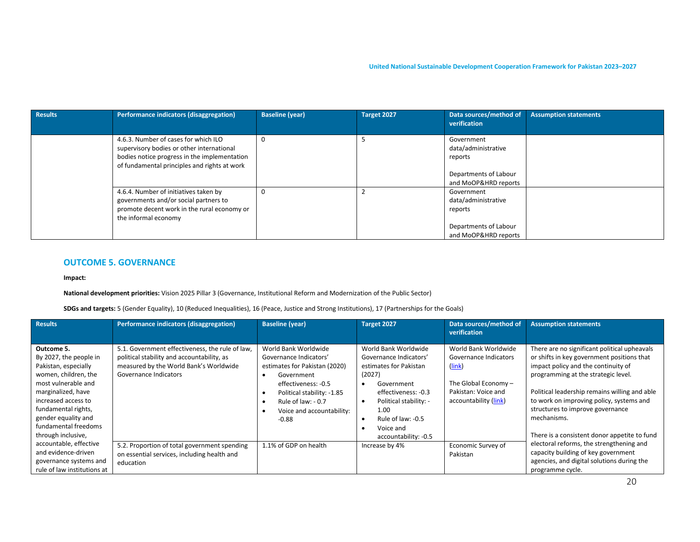| <b>Results</b> | Performance indicators (disaggregation)                                                                                                                                           | <b>Baseline (year)</b> | Target 2027 | Data sources/method of<br>verification                                                        | <b>Assumption statements</b> |
|----------------|-----------------------------------------------------------------------------------------------------------------------------------------------------------------------------------|------------------------|-------------|-----------------------------------------------------------------------------------------------|------------------------------|
|                | 4.6.3. Number of cases for which ILO<br>supervisory bodies or other international<br>bodies notice progress in the implementation<br>of fundamental principles and rights at work | $\Omega$               |             | Government<br>data/administrative<br>reports<br>Departments of Labour<br>and MoOP&HRD reports |                              |
|                | 4.6.4. Number of initiatives taken by<br>governments and/or social partners to<br>promote decent work in the rural economy or<br>the informal economy                             | $\Omega$               |             | Government<br>data/administrative<br>reports<br>Departments of Labour<br>and MoOP&HRD reports |                              |

#### **OUTCOME 5. GOVERNANCE**

**Impact:**

**National development priorities:** Vision 2025 Pillar 3 (Governance, Institutional Reform and Modernization of the Public Sector)

**SDGs and targets:** 5 (Gender Equality), 10 (Reduced Inequalities), 16 (Peace, Justice and Strong Institutions), 17 (Partnerships for the Goals)

| <b>Results</b>                                                                                                                                                                                                                                       | Performance indicators (disaggregation)                                                                                                                          | <b>Baseline (year)</b>                                                                                                                                                                                            | Target 2027                                                                                                                                                                                                                                   | Data sources/method of<br>verification                                                                                            | <b>Assumption statements</b>                                                                                                                                                                                                                                                                                                                                             |
|------------------------------------------------------------------------------------------------------------------------------------------------------------------------------------------------------------------------------------------------------|------------------------------------------------------------------------------------------------------------------------------------------------------------------|-------------------------------------------------------------------------------------------------------------------------------------------------------------------------------------------------------------------|-----------------------------------------------------------------------------------------------------------------------------------------------------------------------------------------------------------------------------------------------|-----------------------------------------------------------------------------------------------------------------------------------|--------------------------------------------------------------------------------------------------------------------------------------------------------------------------------------------------------------------------------------------------------------------------------------------------------------------------------------------------------------------------|
| Outcome 5.<br>By 2027, the people in<br>Pakistan, especially<br>women, children, the<br>most vulnerable and<br>marginalized, have<br>increased access to<br>fundamental rights,<br>gender equality and<br>fundamental freedoms<br>through inclusive, | 5.1. Government effectiveness, the rule of law,<br>political stability and accountability, as<br>measured by the World Bank's Worldwide<br>Governance Indicators | World Bank Worldwide<br>Governance Indicators'<br>estimates for Pakistan (2020)<br>Government<br>effectiveness: -0.5<br>Political stability: -1.85<br>Rule of law: $-0.7$<br>Voice and accountability:<br>$-0.88$ | World Bank Worldwide<br>Governance Indicators'<br>estimates for Pakistan<br>(2027)<br>Government<br>$\bullet$<br>effectiveness: -0.3<br>Political stability: -<br>1.00<br>Rule of law: -0.5<br>$\bullet$<br>Voice and<br>accountability: -0.5 | World Bank Worldwide<br>Governance Indicators<br>(link)<br>The Global Economy $-$<br>Pakistan: Voice and<br>accountability (link) | There are no significant political upheavals<br>or shifts in key government positions that<br>impact policy and the continuity of<br>programming at the strategic level.<br>Political leadership remains willing and able<br>to work on improving policy, systems and<br>structures to improve governance<br>mechanisms.<br>There is a consistent donor appetite to fund |
| accountable, effective<br>and evidence-driven<br>governance systems and<br>rule of law institutions at                                                                                                                                               | 5.2. Proportion of total government spending<br>on essential services, including health and<br>education                                                         | 1.1% of GDP on health                                                                                                                                                                                             | Increase by 4%                                                                                                                                                                                                                                | Economic Survey of<br>Pakistan                                                                                                    | electoral reforms, the strengthening and<br>capacity building of key government<br>agencies, and digital solutions during the<br>programme cycle.                                                                                                                                                                                                                        |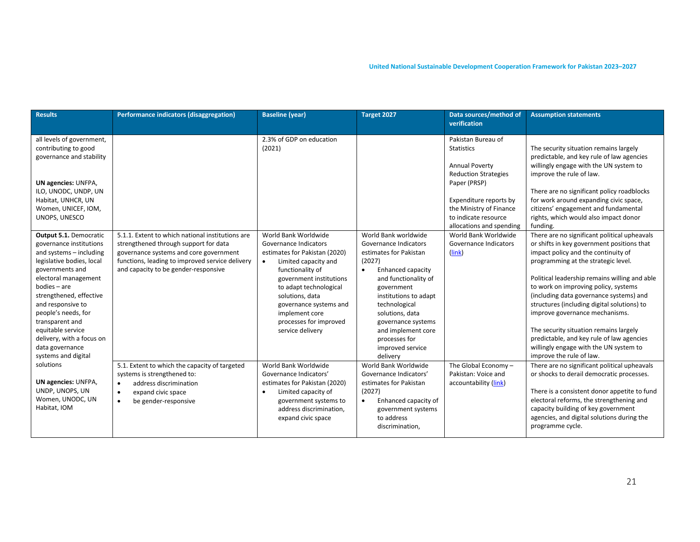| <b>Results</b>                                                                                                                                                                                                                                                                                                                                                | Performance indicators (disaggregation)                                                                                                                                                                                        | <b>Baseline (year)</b>                                                                                                                                                                                                                                                                                    | Target 2027                                                                                                                                                                                                                                                                                                         | Data sources/method of                                                                                                | <b>Assumption statements</b>                                                                                                                                                                                                                                                                                                                                                                                                                                                                                                                               |
|---------------------------------------------------------------------------------------------------------------------------------------------------------------------------------------------------------------------------------------------------------------------------------------------------------------------------------------------------------------|--------------------------------------------------------------------------------------------------------------------------------------------------------------------------------------------------------------------------------|-----------------------------------------------------------------------------------------------------------------------------------------------------------------------------------------------------------------------------------------------------------------------------------------------------------|---------------------------------------------------------------------------------------------------------------------------------------------------------------------------------------------------------------------------------------------------------------------------------------------------------------------|-----------------------------------------------------------------------------------------------------------------------|------------------------------------------------------------------------------------------------------------------------------------------------------------------------------------------------------------------------------------------------------------------------------------------------------------------------------------------------------------------------------------------------------------------------------------------------------------------------------------------------------------------------------------------------------------|
|                                                                                                                                                                                                                                                                                                                                                               |                                                                                                                                                                                                                                |                                                                                                                                                                                                                                                                                                           |                                                                                                                                                                                                                                                                                                                     | verification                                                                                                          |                                                                                                                                                                                                                                                                                                                                                                                                                                                                                                                                                            |
| all levels of government,<br>contributing to good<br>governance and stability                                                                                                                                                                                                                                                                                 |                                                                                                                                                                                                                                | 2.3% of GDP on education<br>(2021)                                                                                                                                                                                                                                                                        |                                                                                                                                                                                                                                                                                                                     | Pakistan Bureau of<br><b>Statistics</b><br><b>Annual Poverty</b><br><b>Reduction Strategies</b>                       | The security situation remains largely<br>predictable, and key rule of law agencies<br>willingly engage with the UN system to<br>improve the rule of law.                                                                                                                                                                                                                                                                                                                                                                                                  |
| <b>UN agencies: UNFPA,</b><br>ILO, UNODC, UNDP, UN<br>Habitat, UNHCR, UN<br>Women, UNICEF, IOM,<br>UNOPS, UNESCO                                                                                                                                                                                                                                              |                                                                                                                                                                                                                                |                                                                                                                                                                                                                                                                                                           |                                                                                                                                                                                                                                                                                                                     | Paper (PRSP)<br>Expenditure reports by<br>the Ministry of Finance<br>to indicate resource<br>allocations and spending | There are no significant policy roadblocks<br>for work around expanding civic space,<br>citizens' engagement and fundamental<br>rights, which would also impact donor<br>funding.                                                                                                                                                                                                                                                                                                                                                                          |
| Output 5.1. Democratic<br>governance institutions<br>and systems - including<br>legislative bodies, local<br>governments and<br>electoral management<br>$b$ odies – are<br>strengthened, effective<br>and responsive to<br>people's needs, for<br>transparent and<br>equitable service<br>delivery, with a focus on<br>data governance<br>systems and digital | 5.1.1. Extent to which national institutions are<br>strengthened through support for data<br>governance systems and core government<br>functions, leading to improved service delivery<br>and capacity to be gender-responsive | World Bank Worldwide<br>Governance Indicators<br>estimates for Pakistan (2020)<br>Limited capacity and<br>$\bullet$<br>functionality of<br>government institutions<br>to adapt technological<br>solutions, data<br>governance systems and<br>implement core<br>processes for improved<br>service delivery | World Bank worldwide<br>Governance Indicators<br>estimates for Pakistan<br>(2027)<br>Enhanced capacity<br>$\bullet$<br>and functionality of<br>government<br>institutions to adapt<br>technological<br>solutions, data<br>governance systems<br>and implement core<br>processes for<br>improved service<br>delivery | World Bank Worldwide<br>Governance Indicators<br>(link)                                                               | There are no significant political upheavals<br>or shifts in key government positions that<br>impact policy and the continuity of<br>programming at the strategic level.<br>Political leadership remains willing and able<br>to work on improving policy, systems<br>(including data governance systems) and<br>structures (including digital solutions) to<br>improve governance mechanisms.<br>The security situation remains largely<br>predictable, and key rule of law agencies<br>willingly engage with the UN system to<br>improve the rule of law. |
| solutions<br>UN agencies: UNFPA,<br>UNDP, UNOPS, UN<br>Women, UNODC, UN<br>Habitat, IOM                                                                                                                                                                                                                                                                       | 5.1. Extent to which the capacity of targeted<br>systems is strengthened to:<br>address discrimination<br>$\bullet$<br>expand civic space<br>$\bullet$<br>be gender-responsive<br>$\bullet$                                    | World Bank Worldwide<br>Governance Indicators'<br>estimates for Pakistan (2020)<br>Limited capacity of<br>$\bullet$<br>government systems to<br>address discrimination,<br>expand civic space                                                                                                             | World Bank Worldwide<br>Governance Indicators'<br>estimates for Pakistan<br>(2027)<br>Enhanced capacity of<br>$\bullet$<br>government systems<br>to address<br>discrimination,                                                                                                                                      | The Global Economy-<br>Pakistan: Voice and<br>accountability (link)                                                   | There are no significant political upheavals<br>or shocks to derail democratic processes.<br>There is a consistent donor appetite to fund<br>electoral reforms, the strengthening and<br>capacity building of key government<br>agencies, and digital solutions during the<br>programme cycle.                                                                                                                                                                                                                                                             |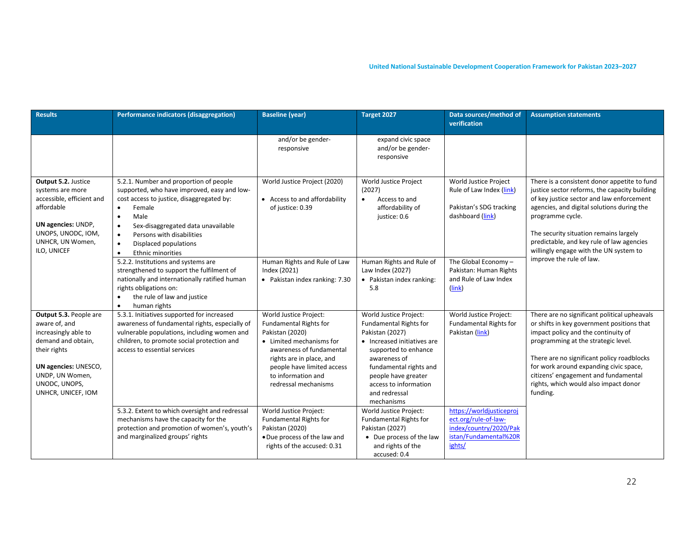| <b>Results</b>                                                                                                                                                                          | Performance indicators (disaggregation)                                                                                                                                                                                                                                                                                                                    | <b>Baseline (year)</b>                                                                                                                                                                                                                     | Target 2027                                                                                                                                                                                                                                                | Data sources/method of<br>verification                                                                        | <b>Assumption statements</b>                                                                                                                                                                                                                                                                                                                                  |
|-----------------------------------------------------------------------------------------------------------------------------------------------------------------------------------------|------------------------------------------------------------------------------------------------------------------------------------------------------------------------------------------------------------------------------------------------------------------------------------------------------------------------------------------------------------|--------------------------------------------------------------------------------------------------------------------------------------------------------------------------------------------------------------------------------------------|------------------------------------------------------------------------------------------------------------------------------------------------------------------------------------------------------------------------------------------------------------|---------------------------------------------------------------------------------------------------------------|---------------------------------------------------------------------------------------------------------------------------------------------------------------------------------------------------------------------------------------------------------------------------------------------------------------------------------------------------------------|
|                                                                                                                                                                                         |                                                                                                                                                                                                                                                                                                                                                            | and/or be gender-<br>responsive                                                                                                                                                                                                            | expand civic space<br>and/or be gender-<br>responsive                                                                                                                                                                                                      |                                                                                                               |                                                                                                                                                                                                                                                                                                                                                               |
| Output 5.2. Justice<br>systems are more<br>accessible, efficient and<br>affordable<br>UN agencies: UNDP,<br>UNOPS, UNODC, IOM,<br>UNHCR, UN Women,<br>ILO, UNICEF                       | 5.2.1. Number and proportion of people<br>supported, who have improved, easy and low-<br>cost access to justice, disaggregated by:<br>Female<br>$\bullet$<br>Male<br>$\bullet$<br>Sex-disaggregated data unavailable<br>$\bullet$<br>Persons with disabilities<br>$\bullet$<br>Displaced populations<br>$\bullet$<br>$\bullet$<br><b>Ethnic minorities</b> | World Justice Project (2020)<br>• Access to and affordability<br>of justice: 0.39                                                                                                                                                          | World Justice Project<br>(2027)<br>$\bullet$<br>Access to and<br>affordability of<br>justice: 0.6                                                                                                                                                          | World Justice Project<br>Rule of Law Index (link)<br>Pakistan's SDG tracking<br>dashboard (link)              | There is a consistent donor appetite to fund<br>justice sector reforms, the capacity building<br>of key justice sector and law enforcement<br>agencies, and digital solutions during the<br>programme cycle.<br>The security situation remains largely<br>predictable, and key rule of law agencies<br>willingly engage with the UN system to                 |
|                                                                                                                                                                                         | 5.2.2. Institutions and systems are<br>strengthened to support the fulfilment of<br>nationally and internationally ratified human<br>rights obligations on:<br>the rule of law and justice<br>$\bullet$<br>human rights<br>$\bullet$                                                                                                                       | Human Rights and Rule of Law<br>Index (2021)<br>• Pakistan index ranking: 7.30                                                                                                                                                             | Human Rights and Rule of<br>Law Index (2027)<br>• Pakistan index ranking:<br>5.8                                                                                                                                                                           | The Global Economy-<br>Pakistan: Human Rights<br>and Rule of Law Index<br>(link)                              | improve the rule of law.                                                                                                                                                                                                                                                                                                                                      |
| Output 5.3. People are<br>aware of, and<br>increasingly able to<br>demand and obtain,<br>their rights<br>UN agencies: UNESCO,<br>UNDP, UN Women,<br>UNODC, UNOPS,<br>UNHCR, UNICEF, IOM | 5.3.1. Initiatives supported for increased<br>awareness of fundamental rights, especially of<br>vulnerable populations, including women and<br>children, to promote social protection and<br>access to essential services                                                                                                                                  | World Justice Project:<br><b>Fundamental Rights for</b><br>Pakistan (2020)<br>• Limited mechanisms for<br>awareness of fundamental<br>rights are in place, and<br>people have limited access<br>to information and<br>redressal mechanisms | World Justice Project:<br><b>Fundamental Rights for</b><br>Pakistan (2027)<br>• Increased initiatives are<br>supported to enhance<br>awareness of<br>fundamental rights and<br>people have greater<br>access to information<br>and redressal<br>mechanisms | World Justice Project:<br><b>Fundamental Rights for</b><br>Pakistan (link)                                    | There are no significant political upheavals<br>or shifts in key government positions that<br>impact policy and the continuity of<br>programming at the strategic level.<br>There are no significant policy roadblocks<br>for work around expanding civic space,<br>citizens' engagement and fundamental<br>rights, which would also impact donor<br>funding. |
|                                                                                                                                                                                         | 5.3.2. Extent to which oversight and redressal<br>mechanisms have the capacity for the<br>protection and promotion of women's, youth's<br>and marginalized groups' rights                                                                                                                                                                                  | World Justice Project:<br><b>Fundamental Rights for</b><br>Pakistan (2020)<br>. Due process of the law and<br>rights of the accused: 0.31                                                                                                  | World Justice Project:<br><b>Fundamental Rights for</b><br>Pakistan (2027)<br>• Due process of the law<br>and rights of the<br>accused: 0.4                                                                                                                | https://worldjusticeproj<br>ect.org/rule-of-law-<br>index/country/2020/Pak<br>istan/Fundamental%20R<br>ights/ |                                                                                                                                                                                                                                                                                                                                                               |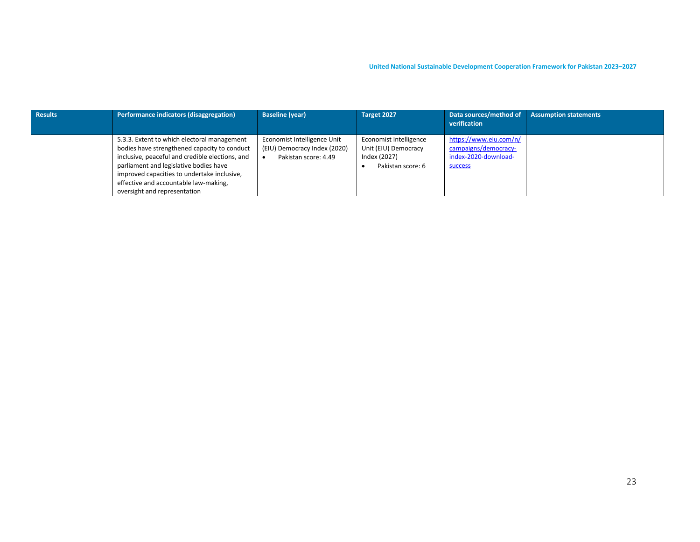| Results | Performance indicators (disaggregation)                                                                                                                                                                                                                                                                          | <b>Baseline (year)</b>                                                              | Target 2027                                                                         | Data sources/method of<br>verification                                                   | <b>Assumption statements</b> |
|---------|------------------------------------------------------------------------------------------------------------------------------------------------------------------------------------------------------------------------------------------------------------------------------------------------------------------|-------------------------------------------------------------------------------------|-------------------------------------------------------------------------------------|------------------------------------------------------------------------------------------|------------------------------|
|         | 5.3.3. Extent to which electoral management<br>bodies have strengthened capacity to conduct<br>inclusive, peaceful and credible elections, and<br>parliament and legislative bodies have<br>improved capacities to undertake inclusive,<br>effective and accountable law-making,<br>oversight and representation | Economist Intelligence Unit<br>(EIU) Democracy Index (2020)<br>Pakistan score: 4.49 | Economist Intelligence<br>Unit (EIU) Democracy<br>Index (2027)<br>Pakistan score: 6 | https://www.eiu.com/n/<br>campaigns/democracy-<br>index-2020-download-<br><b>SUCCESS</b> |                              |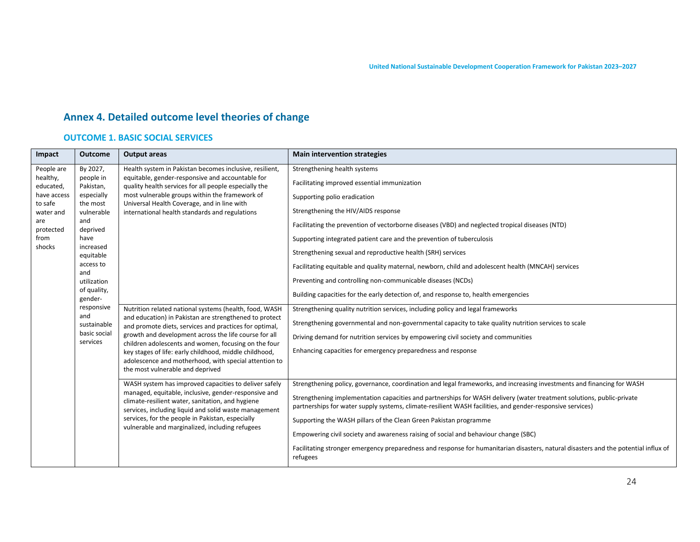# **Annex 4. Detailed outcome level theories of change**

### **OUTCOME 1. BASIC SOCIAL SERVICES**

| Impact                 | <b>Outcome</b>                                                                                                                                                                                                        | <b>Output areas</b>                                                                                                                                                                                                                | <b>Main intervention strategies</b>                                                                                                             |
|------------------------|-----------------------------------------------------------------------------------------------------------------------------------------------------------------------------------------------------------------------|------------------------------------------------------------------------------------------------------------------------------------------------------------------------------------------------------------------------------------|-------------------------------------------------------------------------------------------------------------------------------------------------|
| People are             | By 2027,                                                                                                                                                                                                              | Health system in Pakistan becomes inclusive, resilient,                                                                                                                                                                            | Strengthening health systems                                                                                                                    |
| healthy,<br>educated,  | people in<br>Pakistan,                                                                                                                                                                                                | equitable, gender-responsive and accountable for<br>quality health services for all people especially the                                                                                                                          | Facilitating improved essential immunization                                                                                                    |
| have access<br>to safe | especially<br>the most                                                                                                                                                                                                | most vulnerable groups within the framework of<br>Universal Health Coverage, and in line with                                                                                                                                      | Supporting polio eradication                                                                                                                    |
| water and              | vulnerable                                                                                                                                                                                                            | international health standards and regulations                                                                                                                                                                                     | Strengthening the HIV/AIDS response                                                                                                             |
| are<br>protected       | and<br>deprived                                                                                                                                                                                                       |                                                                                                                                                                                                                                    | Facilitating the prevention of vectorborne diseases (VBD) and neglected tropical diseases (NTD)                                                 |
| from<br>shocks         | have                                                                                                                                                                                                                  |                                                                                                                                                                                                                                    | Supporting integrated patient care and the prevention of tuberculosis                                                                           |
|                        | increased<br>equitable                                                                                                                                                                                                |                                                                                                                                                                                                                                    | Strengthening sexual and reproductive health (SRH) services                                                                                     |
|                        | access to<br>and                                                                                                                                                                                                      |                                                                                                                                                                                                                                    | Facilitating equitable and quality maternal, newborn, child and adolescent health (MNCAH) services                                              |
|                        | utilization                                                                                                                                                                                                           |                                                                                                                                                                                                                                    | Preventing and controlling non-communicable diseases (NCDs)                                                                                     |
|                        | of quality,<br>gender-                                                                                                                                                                                                |                                                                                                                                                                                                                                    | Building capacities for the early detection of, and response to, health emergencies                                                             |
|                        | responsive<br>and                                                                                                                                                                                                     | Nutrition related national systems (health, food, WASH                                                                                                                                                                             | Strengthening quality nutrition services, including policy and legal frameworks                                                                 |
|                        | sustainable                                                                                                                                                                                                           | and education) in Pakistan are strengthened to protect<br>and promote diets, services and practices for optimal,                                                                                                                   | Strengthening governmental and non-governmental capacity to take quality nutrition services to scale                                            |
|                        | basic social<br>services                                                                                                                                                                                              | growth and development across the life course for all<br>children adolescents and women, focusing on the four                                                                                                                      | Driving demand for nutrition services by empowering civil society and communities                                                               |
|                        |                                                                                                                                                                                                                       | key stages of life: early childhood, middle childhood,                                                                                                                                                                             | Enhancing capacities for emergency preparedness and response                                                                                    |
|                        |                                                                                                                                                                                                                       | adolescence and motherhood, with special attention to<br>the most vulnerable and deprived                                                                                                                                          |                                                                                                                                                 |
|                        |                                                                                                                                                                                                                       | WASH system has improved capacities to deliver safely                                                                                                                                                                              | Strengthening policy, governance, coordination and legal frameworks, and increasing investments and financing for WASH                          |
|                        | managed, equitable, inclusive, gender-responsive and<br>climate-resilient water, sanitation, and hygiene<br>services, including liquid and solid waste management<br>services, for the people in Pakistan, especially | Strengthening implementation capacities and partnerships for WASH delivery (water treatment solutions, public-private<br>partnerships for water supply systems, climate-resilient WASH facilities, and gender-responsive services) |                                                                                                                                                 |
|                        |                                                                                                                                                                                                                       | Supporting the WASH pillars of the Clean Green Pakistan programme                                                                                                                                                                  |                                                                                                                                                 |
|                        |                                                                                                                                                                                                                       | vulnerable and marginalized, including refugees                                                                                                                                                                                    | Empowering civil society and awareness raising of social and behaviour change (SBC)                                                             |
|                        |                                                                                                                                                                                                                       |                                                                                                                                                                                                                                    | Facilitating stronger emergency preparedness and response for humanitarian disasters, natural disasters and the potential influx of<br>refugees |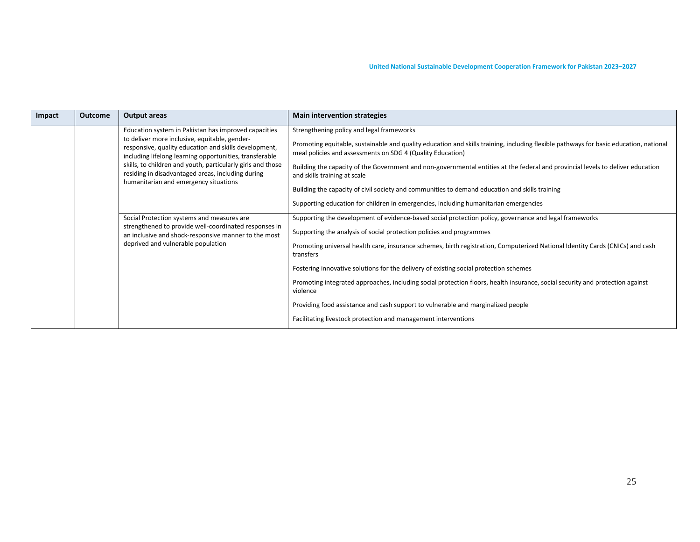| Impact | <b>Outcome</b> | Output areas                                                                                                                                                                                                                                                                                                                                                                           | <b>Main intervention strategies</b>                                                                                                                                                                                                                                                                                                                                                                                                                                                                                                                                                                                                                                                                                      |
|--------|----------------|----------------------------------------------------------------------------------------------------------------------------------------------------------------------------------------------------------------------------------------------------------------------------------------------------------------------------------------------------------------------------------------|--------------------------------------------------------------------------------------------------------------------------------------------------------------------------------------------------------------------------------------------------------------------------------------------------------------------------------------------------------------------------------------------------------------------------------------------------------------------------------------------------------------------------------------------------------------------------------------------------------------------------------------------------------------------------------------------------------------------------|
|        |                | Education system in Pakistan has improved capacities<br>to deliver more inclusive, equitable, gender-<br>responsive, quality education and skills development,<br>including lifelong learning opportunities, transferable<br>skills, to children and youth, particularly girls and those<br>residing in disadvantaged areas, including during<br>humanitarian and emergency situations | Strengthening policy and legal frameworks<br>Promoting equitable, sustainable and quality education and skills training, including flexible pathways for basic education, national<br>meal policies and assessments on SDG 4 (Quality Education)<br>Building the capacity of the Government and non-governmental entities at the federal and provincial levels to deliver education<br>and skills training at scale<br>Building the capacity of civil society and communities to demand education and skills training<br>Supporting education for children in emergencies, including humanitarian emergencies                                                                                                            |
|        |                | Social Protection systems and measures are<br>strengthened to provide well-coordinated responses in<br>an inclusive and shock-responsive manner to the most<br>deprived and vulnerable population                                                                                                                                                                                      | Supporting the development of evidence-based social protection policy, governance and legal frameworks<br>Supporting the analysis of social protection policies and programmes<br>Promoting universal health care, insurance schemes, birth registration, Computerized National Identity Cards (CNICs) and cash<br>transfers<br>Fostering innovative solutions for the delivery of existing social protection schemes<br>Promoting integrated approaches, including social protection floors, health insurance, social security and protection against<br>violence<br>Providing food assistance and cash support to vulnerable and marginalized people<br>Facilitating livestock protection and management interventions |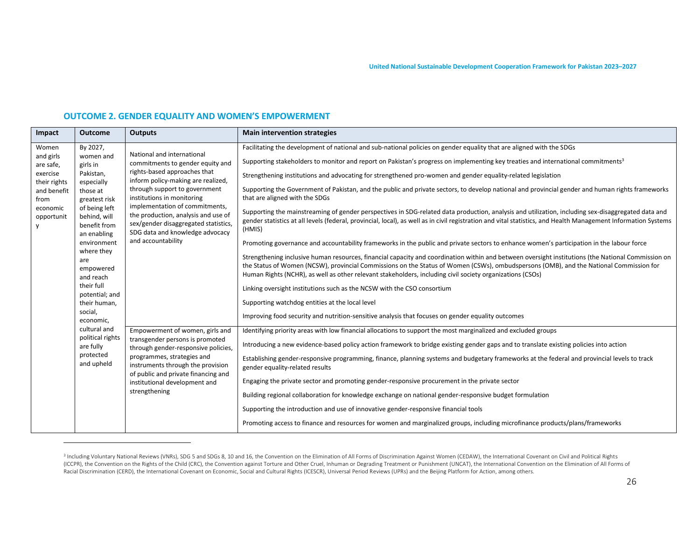#### **OUTCOME 2. GENDER EQUALITY AND WOMEN'S EMPOWERMENT**

| Impact                   | <b>Outcome</b>                                               | <b>Outputs</b>                                                                                                                                                                                                                                                                                                                                                                                            | <b>Main intervention strategies</b>                                                                                                                                                                                                                                                                                            |
|--------------------------|--------------------------------------------------------------|-----------------------------------------------------------------------------------------------------------------------------------------------------------------------------------------------------------------------------------------------------------------------------------------------------------------------------------------------------------------------------------------------------------|--------------------------------------------------------------------------------------------------------------------------------------------------------------------------------------------------------------------------------------------------------------------------------------------------------------------------------|
| Women                    | By 2027,                                                     | National and international                                                                                                                                                                                                                                                                                                                                                                                | Facilitating the development of national and sub-national policies on gender equality that are aligned with the SDGs                                                                                                                                                                                                           |
| and girls<br>are safe,   | women and<br>girls in                                        | commitments to gender equity and                                                                                                                                                                                                                                                                                                                                                                          | Supporting stakeholders to monitor and report on Pakistan's progress on implementing key treaties and international commitments <sup>3</sup>                                                                                                                                                                                   |
| exercise<br>their rights | Pakistan,<br>especially                                      | rights-based approaches that<br>inform policy-making are realized,                                                                                                                                                                                                                                                                                                                                        | Strengthening institutions and advocating for strengthened pro-women and gender equality-related legislation                                                                                                                                                                                                                   |
| and benefit<br>from      | those at<br>greatest risk                                    | through support to government<br>institutions in monitoring                                                                                                                                                                                                                                                                                                                                               | Supporting the Government of Pakistan, and the public and private sectors, to develop national and provincial gender and human rights frameworks<br>that are aligned with the SDGs                                                                                                                                             |
| economic<br>opportunit   | of being left<br>behind, will<br>benefit from<br>an enabling | implementation of commitments,<br>the production, analysis and use of<br>sex/gender disaggregated statistics,<br>SDG data and knowledge advocacy                                                                                                                                                                                                                                                          | Supporting the mainstreaming of gender perspectives in SDG-related data production, analysis and utilization, including sex-disaggregated data and<br>gender statistics at all levels (federal, provincial, local), as well as in civil registration and vital statistics, and Health Management Information Systems<br>(HMIS) |
|                          | environment                                                  | and accountability                                                                                                                                                                                                                                                                                                                                                                                        | Promoting governance and accountability frameworks in the public and private sectors to enhance women's participation in the labour force                                                                                                                                                                                      |
|                          | where they<br>are<br>empowered<br>and reach                  | Strengthening inclusive human resources, financial capacity and coordination within and between oversight institutions (the National Commission on<br>the Status of Women (NCSW), provincial Commissions on the Status of Women (CSWs), ombudspersons (OMB), and the National Commission for<br>Human Rights (NCHR), as well as other relevant stakeholders, including civil society organizations (CSOs) |                                                                                                                                                                                                                                                                                                                                |
|                          | their full<br>potential; and                                 |                                                                                                                                                                                                                                                                                                                                                                                                           | Linking oversight institutions such as the NCSW with the CSO consortium                                                                                                                                                                                                                                                        |
|                          | their human,                                                 |                                                                                                                                                                                                                                                                                                                                                                                                           | Supporting watchdog entities at the local level                                                                                                                                                                                                                                                                                |
|                          | social,<br>economic,                                         |                                                                                                                                                                                                                                                                                                                                                                                                           | Improving food security and nutrition-sensitive analysis that focuses on gender equality outcomes                                                                                                                                                                                                                              |
|                          | cultural and<br>political rights                             | Empowerment of women, girls and                                                                                                                                                                                                                                                                                                                                                                           | Identifying priority areas with low financial allocations to support the most marginalized and excluded groups                                                                                                                                                                                                                 |
|                          | are fully                                                    | transgender persons is promoted<br>through gender-responsive policies,<br>programmes, strategies and<br>instruments through the provision<br>of public and private financing and<br>institutional development and<br>strengthening                                                                                                                                                                        | Introducing a new evidence-based policy action framework to bridge existing gender gaps and to translate existing policies into action                                                                                                                                                                                         |
|                          | protected<br>and upheld                                      |                                                                                                                                                                                                                                                                                                                                                                                                           | Establishing gender-responsive programming, finance, planning systems and budgetary frameworks at the federal and provincial levels to track<br>gender equality-related results                                                                                                                                                |
|                          |                                                              |                                                                                                                                                                                                                                                                                                                                                                                                           | Engaging the private sector and promoting gender-responsive procurement in the private sector                                                                                                                                                                                                                                  |
|                          |                                                              |                                                                                                                                                                                                                                                                                                                                                                                                           | Building regional collaboration for knowledge exchange on national gender-responsive budget formulation                                                                                                                                                                                                                        |
|                          |                                                              |                                                                                                                                                                                                                                                                                                                                                                                                           | Supporting the introduction and use of innovative gender-responsive financial tools                                                                                                                                                                                                                                            |
|                          |                                                              |                                                                                                                                                                                                                                                                                                                                                                                                           | Promoting access to finance and resources for women and marginalized groups, including microfinance products/plans/frameworks                                                                                                                                                                                                  |

<sup>&</sup>lt;sup>3</sup> Including Voluntary National Reviews (VNRs), SDG 5 and SDGs 8, 10 and 16, the Convention on the Elimination of All Forms of Discrimination Against Women (CEDAW), the International Covenant on Civil and Political Rights (ICCPR), the Convention on the Rights of the Child (CRC), the Convention against Torture and Other Cruel, Inhuman or Degrading Treatment or Punishment (UNCAT), the International Convention on the Elimination of All Forms of Racial Discrimination (CERD), the International Covenant on Economic, Social and Cultural Rights (ICESCR), Universal Period Reviews (UPRs) and the Beijing Platform for Action, among others.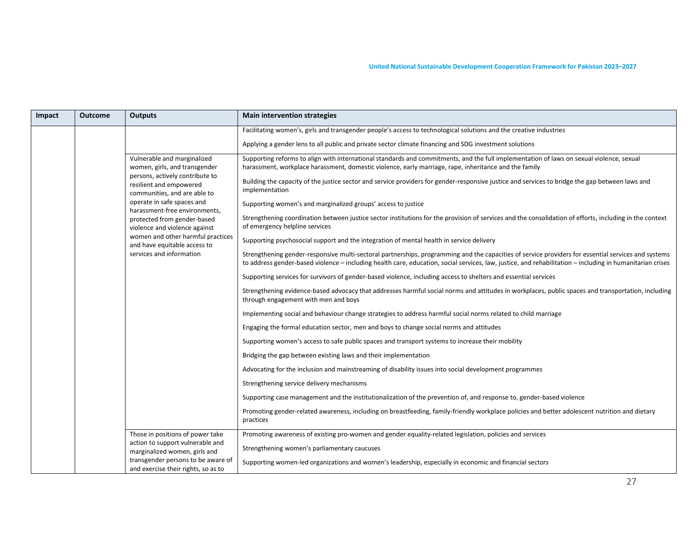| Impact | <b>Outcome</b> | <b>Outputs</b>                                                                                                                                                                                                                                                                                                                                                                             | <b>Main intervention strategies</b>                                                                                                                                                                                                                                                                                                                                                                                                                                                                                                                                                                                                                                                                                                                                                                                                                                                                                                                                                                                                                                                                                                                                                                                                                                                                                                                                                                                                                                                                                                                                                                                                                                                                                                                                                                                                                                                                                                                                                                                                                                                                                                                                                                                                                    |
|--------|----------------|--------------------------------------------------------------------------------------------------------------------------------------------------------------------------------------------------------------------------------------------------------------------------------------------------------------------------------------------------------------------------------------------|--------------------------------------------------------------------------------------------------------------------------------------------------------------------------------------------------------------------------------------------------------------------------------------------------------------------------------------------------------------------------------------------------------------------------------------------------------------------------------------------------------------------------------------------------------------------------------------------------------------------------------------------------------------------------------------------------------------------------------------------------------------------------------------------------------------------------------------------------------------------------------------------------------------------------------------------------------------------------------------------------------------------------------------------------------------------------------------------------------------------------------------------------------------------------------------------------------------------------------------------------------------------------------------------------------------------------------------------------------------------------------------------------------------------------------------------------------------------------------------------------------------------------------------------------------------------------------------------------------------------------------------------------------------------------------------------------------------------------------------------------------------------------------------------------------------------------------------------------------------------------------------------------------------------------------------------------------------------------------------------------------------------------------------------------------------------------------------------------------------------------------------------------------------------------------------------------------------------------------------------------------|
|        |                |                                                                                                                                                                                                                                                                                                                                                                                            | Facilitating women's, girls and transgender people's access to technological solutions and the creative industries                                                                                                                                                                                                                                                                                                                                                                                                                                                                                                                                                                                                                                                                                                                                                                                                                                                                                                                                                                                                                                                                                                                                                                                                                                                                                                                                                                                                                                                                                                                                                                                                                                                                                                                                                                                                                                                                                                                                                                                                                                                                                                                                     |
|        |                |                                                                                                                                                                                                                                                                                                                                                                                            | Applying a gender lens to all public and private sector climate financing and SDG investment solutions                                                                                                                                                                                                                                                                                                                                                                                                                                                                                                                                                                                                                                                                                                                                                                                                                                                                                                                                                                                                                                                                                                                                                                                                                                                                                                                                                                                                                                                                                                                                                                                                                                                                                                                                                                                                                                                                                                                                                                                                                                                                                                                                                 |
|        |                | Vulnerable and marginalized<br>women, girls, and transgender<br>persons, actively contribute to<br>resilient and empowered<br>communities, and are able to<br>operate in safe spaces and<br>harassment-free environments,<br>protected from gender-based<br>violence and violence against<br>women and other harmful practices<br>and have equitable access to<br>services and information | Supporting reforms to align with international standards and commitments, and the full implementation of laws on sexual violence, sexual<br>harassment, workplace harassment, domestic violence, early marriage, rape, inheritance and the family<br>Building the capacity of the justice sector and service providers for gender-responsive justice and services to bridge the gap between laws and<br>implementation<br>Supporting women's and marginalized groups' access to justice<br>Strengthening coordination between justice sector institutions for the provision of services and the consolidation of efforts, including in the context<br>of emergency helpline services<br>Supporting psychosocial support and the integration of mental health in service delivery<br>Strengthening gender-responsive multi-sectoral partnerships, programming and the capacities of service providers for essential services and systems<br>to address gender-based violence - including health care, education, social services, law, justice, and rehabilitation - including in humanitarian crises<br>Supporting services for survivors of gender-based violence, including access to shelters and essential services<br>Strengthening evidence-based advocacy that addresses harmful social norms and attitudes in workplaces, public spaces and transportation, including<br>through engagement with men and boys<br>Implementing social and behaviour change strategies to address harmful social norms related to child marriage<br>Engaging the formal education sector, men and boys to change social norms and attitudes<br>Supporting women's access to safe public spaces and transport systems to increase their mobility<br>Bridging the gap between existing laws and their implementation<br>Advocating for the inclusion and mainstreaming of disability issues into social development programmes<br>Strengthening service delivery mechanisms<br>Supporting case management and the institutionalization of the prevention of, and response to, gender-based violence<br>Promoting gender-related awareness, including on breastfeeding, family-friendly workplace policies and better adolescent nutrition and dietary<br>practices |
|        |                | Those in positions of power take<br>action to support vulnerable and<br>marginalized women, girls and<br>transgender persons to be aware of<br>and exercise their rights, so as to                                                                                                                                                                                                         | Promoting awareness of existing pro-women and gender equality-related legislation, policies and services<br>Strengthening women's parliamentary caucuses<br>Supporting women-led organizations and women's leadership, especially in economic and financial sectors                                                                                                                                                                                                                                                                                                                                                                                                                                                                                                                                                                                                                                                                                                                                                                                                                                                                                                                                                                                                                                                                                                                                                                                                                                                                                                                                                                                                                                                                                                                                                                                                                                                                                                                                                                                                                                                                                                                                                                                    |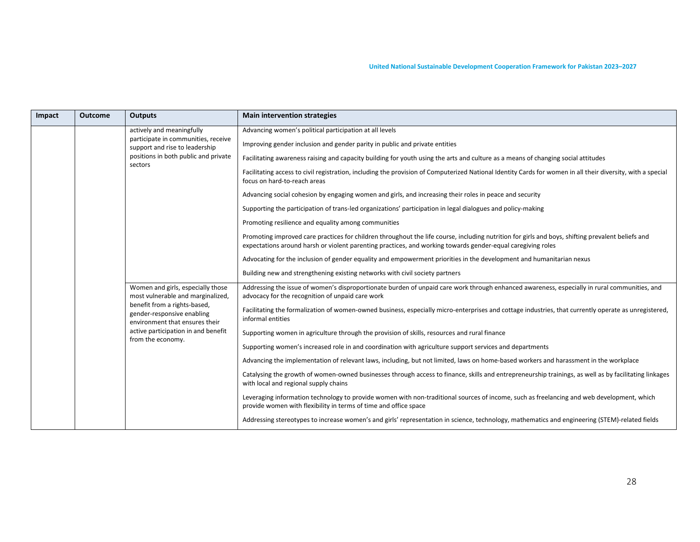| Impact | <b>Outcome</b> | <b>Outputs</b>                                                                                                                                                                                                                                                   | <b>Main intervention strategies</b>                                                                                                                                                                           |
|--------|----------------|------------------------------------------------------------------------------------------------------------------------------------------------------------------------------------------------------------------------------------------------------------------|---------------------------------------------------------------------------------------------------------------------------------------------------------------------------------------------------------------|
|        |                | actively and meaningfully                                                                                                                                                                                                                                        | Advancing women's political participation at all levels                                                                                                                                                       |
|        |                | participate in communities, receive<br>support and rise to leadership<br>positions in both public and private<br>sectors                                                                                                                                         | Improving gender inclusion and gender parity in public and private entities                                                                                                                                   |
|        |                |                                                                                                                                                                                                                                                                  | Facilitating awareness raising and capacity building for youth using the arts and culture as a means of changing social attitudes                                                                             |
|        |                |                                                                                                                                                                                                                                                                  | Facilitating access to civil registration, including the provision of Computerized National Identity Cards for women in all their diversity, with a special<br>focus on hard-to-reach areas                   |
|        |                | Advancing social cohesion by engaging women and girls, and increasing their roles in peace and security                                                                                                                                                          |                                                                                                                                                                                                               |
|        |                | Supporting the participation of trans-led organizations' participation in legal dialogues and policy-making                                                                                                                                                      |                                                                                                                                                                                                               |
|        |                |                                                                                                                                                                                                                                                                  | Promoting resilience and equality among communities                                                                                                                                                           |
|        |                | Promoting improved care practices for children throughout the life course, including nutrition for girls and boys, shifting prevalent beliefs and<br>expectations around harsh or violent parenting practices, and working towards gender-equal caregiving roles |                                                                                                                                                                                                               |
|        |                |                                                                                                                                                                                                                                                                  | Advocating for the inclusion of gender equality and empowerment priorities in the development and humanitarian nexus                                                                                          |
|        |                | Building new and strengthening existing networks with civil society partners                                                                                                                                                                                     |                                                                                                                                                                                                               |
|        |                | Women and girls, especially those<br>most vulnerable and marginalized,<br>benefit from a rights-based,<br>gender-responsive enabling<br>environment that ensures their                                                                                           | Addressing the issue of women's disproportionate burden of unpaid care work through enhanced awareness, especially in rural communities, and<br>advocacy for the recognition of unpaid care work              |
|        |                |                                                                                                                                                                                                                                                                  | Facilitating the formalization of women-owned business, especially micro-enterprises and cottage industries, that currently operate as unregistered,<br>informal entities                                     |
|        |                | active participation in and benefit<br>from the economy.                                                                                                                                                                                                         | Supporting women in agriculture through the provision of skills, resources and rural finance                                                                                                                  |
|        |                |                                                                                                                                                                                                                                                                  | Supporting women's increased role in and coordination with agriculture support services and departments                                                                                                       |
|        |                |                                                                                                                                                                                                                                                                  | Advancing the implementation of relevant laws, including, but not limited, laws on home-based workers and harassment in the workplace                                                                         |
|        |                |                                                                                                                                                                                                                                                                  | Catalysing the growth of women-owned businesses through access to finance, skills and entrepreneurship trainings, as well as by facilitating linkages<br>with local and regional supply chains                |
|        |                |                                                                                                                                                                                                                                                                  | Leveraging information technology to provide women with non-traditional sources of income, such as freelancing and web development, which<br>provide women with flexibility in terms of time and office space |
|        |                |                                                                                                                                                                                                                                                                  | Addressing stereotypes to increase women's and girls' representation in science, technology, mathematics and engineering (STEM)-related fields                                                                |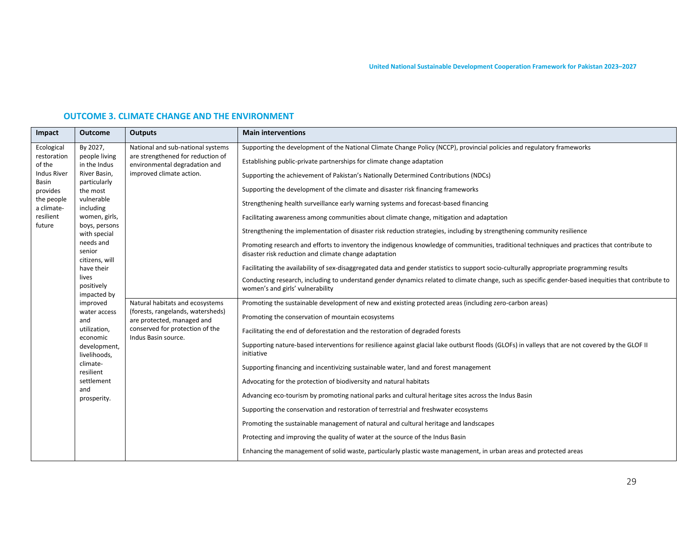## **OUTCOME 3. CLIMATE CHANGE AND THE ENVIRONMENT**

| Impact                      | <b>Outcome</b>                           | <b>Outputs</b>                                                         | <b>Main interventions</b>                                                                                                                                                                             |
|-----------------------------|------------------------------------------|------------------------------------------------------------------------|-------------------------------------------------------------------------------------------------------------------------------------------------------------------------------------------------------|
| Ecological<br>restoration   | By 2027,<br>people living                | National and sub-national systems<br>are strengthened for reduction of | Supporting the development of the National Climate Change Policy (NCCP), provincial policies and regulatory frameworks                                                                                |
| of the                      | in the Indus                             | environmental degradation and                                          | Establishing public-private partnerships for climate change adaptation                                                                                                                                |
| <b>Indus River</b><br>Basin | River Basin,<br>particularly             | improved climate action.                                               | Supporting the achievement of Pakistan's Nationally Determined Contributions (NDCs)                                                                                                                   |
| provides                    | the most                                 |                                                                        | Supporting the development of the climate and disaster risk financing frameworks                                                                                                                      |
| the people<br>a climate-    | vulnerable<br>including                  |                                                                        | Strengthening health surveillance early warning systems and forecast-based financing                                                                                                                  |
| resilient                   | women, girls,                            |                                                                        | Facilitating awareness among communities about climate change, mitigation and adaptation                                                                                                              |
| future                      | boys, persons<br>with special            |                                                                        | Strengthening the implementation of disaster risk reduction strategies, including by strengthening community resilience                                                                               |
|                             | needs and<br>senior<br>citizens, will    |                                                                        | Promoting research and efforts to inventory the indigenous knowledge of communities, traditional techniques and practices that contribute to<br>disaster risk reduction and climate change adaptation |
|                             | have their                               |                                                                        | Facilitating the availability of sex-disaggregated data and gender statistics to support socio-culturally appropriate programming results                                                             |
|                             | lives<br>positively<br>impacted by       |                                                                        | Conducting research, including to understand gender dynamics related to climate change, such as specific gender-based inequities that contribute to<br>women's and girls' vulnerability               |
|                             | improved                                 | Natural habitats and ecosystems                                        | Promoting the sustainable development of new and existing protected areas (including zero-carbon areas)                                                                                               |
|                             | water access<br>and                      | (forests, rangelands, watersheds)<br>are protected, managed and        | Promoting the conservation of mountain ecosystems                                                                                                                                                     |
|                             | utilization,                             | conserved for protection of the                                        | Facilitating the end of deforestation and the restoration of degraded forests                                                                                                                         |
|                             | economic<br>development,<br>livelihoods, | Indus Basin source.                                                    | Supporting nature-based interventions for resilience against glacial lake outburst floods (GLOFs) in valleys that are not covered by the GLOF II<br>initiative                                        |
|                             | climate-<br>resilient                    |                                                                        | Supporting financing and incentivizing sustainable water, land and forest management                                                                                                                  |
|                             | settlement                               |                                                                        | Advocating for the protection of biodiversity and natural habitats                                                                                                                                    |
|                             | and<br>prosperity.                       |                                                                        | Advancing eco-tourism by promoting national parks and cultural heritage sites across the Indus Basin                                                                                                  |
|                             |                                          |                                                                        | Supporting the conservation and restoration of terrestrial and freshwater ecosystems                                                                                                                  |
|                             |                                          |                                                                        | Promoting the sustainable management of natural and cultural heritage and landscapes                                                                                                                  |
|                             |                                          |                                                                        | Protecting and improving the quality of water at the source of the Indus Basin                                                                                                                        |
|                             |                                          |                                                                        | Enhancing the management of solid waste, particularly plastic waste management, in urban areas and protected areas                                                                                    |
|                             |                                          |                                                                        |                                                                                                                                                                                                       |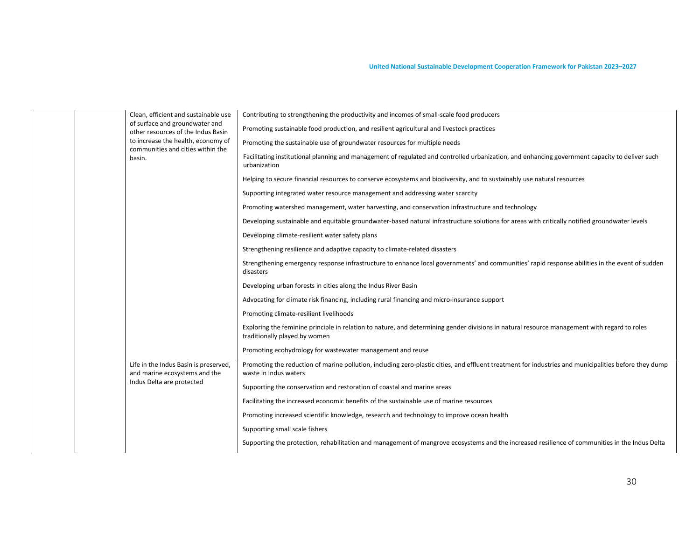|  | communities and cities within the<br>basin. | Clean, efficient and sustainable use<br>of surface and groundwater and<br>other resources of the Indus Basin | Contributing to strengthening the productivity and incomes of small-scale food producers                                                                                       |
|--|---------------------------------------------|--------------------------------------------------------------------------------------------------------------|--------------------------------------------------------------------------------------------------------------------------------------------------------------------------------|
|  |                                             |                                                                                                              | Promoting sustainable food production, and resilient agricultural and livestock practices                                                                                      |
|  |                                             | to increase the health, economy of                                                                           | Promoting the sustainable use of groundwater resources for multiple needs                                                                                                      |
|  |                                             |                                                                                                              | Facilitating institutional planning and management of regulated and controlled urbanization, and enhancing government capacity to deliver such<br>urbanization                 |
|  |                                             |                                                                                                              | Helping to secure financial resources to conserve ecosystems and biodiversity, and to sustainably use natural resources                                                        |
|  |                                             |                                                                                                              | Supporting integrated water resource management and addressing water scarcity                                                                                                  |
|  |                                             |                                                                                                              | Promoting watershed management, water harvesting, and conservation infrastructure and technology                                                                               |
|  |                                             |                                                                                                              | Developing sustainable and equitable groundwater-based natural infrastructure solutions for areas with critically notified groundwater levels                                  |
|  |                                             |                                                                                                              | Developing climate-resilient water safety plans                                                                                                                                |
|  |                                             |                                                                                                              | Strengthening resilience and adaptive capacity to climate-related disasters                                                                                                    |
|  |                                             |                                                                                                              | Strengthening emergency response infrastructure to enhance local governments' and communities' rapid response abilities in the event of sudden<br>disasters                    |
|  |                                             |                                                                                                              | Developing urban forests in cities along the Indus River Basin                                                                                                                 |
|  |                                             |                                                                                                              | Advocating for climate risk financing, including rural financing and micro-insurance support                                                                                   |
|  |                                             |                                                                                                              | Promoting climate-resilient livelihoods                                                                                                                                        |
|  |                                             |                                                                                                              | Exploring the feminine principle in relation to nature, and determining gender divisions in natural resource management with regard to roles<br>traditionally played by women  |
|  |                                             |                                                                                                              | Promoting ecohydrology for wastewater management and reuse                                                                                                                     |
|  |                                             | Life in the Indus Basin is preserved,<br>and marine ecosystems and the                                       | Promoting the reduction of marine pollution, including zero-plastic cities, and effluent treatment for industries and municipalities before they dump<br>waste in Indus waters |
|  |                                             | Indus Delta are protected                                                                                    | Supporting the conservation and restoration of coastal and marine areas                                                                                                        |
|  |                                             |                                                                                                              | Facilitating the increased economic benefits of the sustainable use of marine resources                                                                                        |
|  |                                             |                                                                                                              | Promoting increased scientific knowledge, research and technology to improve ocean health                                                                                      |
|  |                                             |                                                                                                              | Supporting small scale fishers                                                                                                                                                 |
|  |                                             |                                                                                                              | Supporting the protection, rehabilitation and management of mangrove ecosystems and the increased resilience of communities in the Indus Delta                                 |
|  |                                             |                                                                                                              |                                                                                                                                                                                |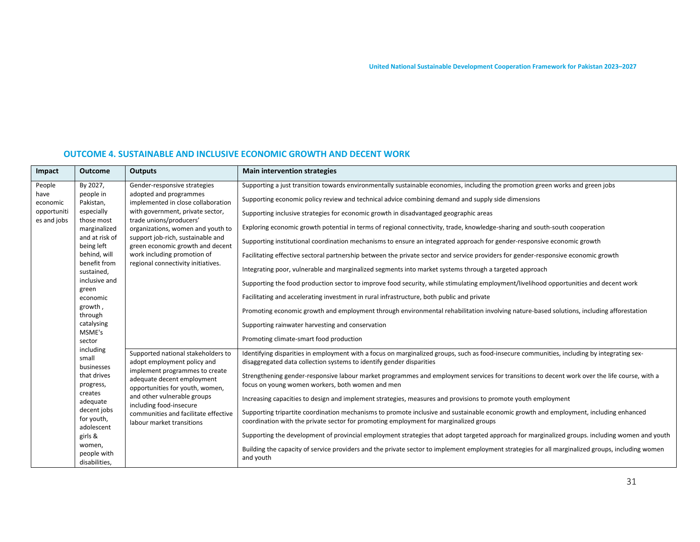| Impact                                                   | <b>Outcome</b>                                                                                                                                                                                                                   | <b>Outputs</b>                                                                                                                                                                                                                                                                                                                                 | <b>Main intervention strategies</b>                                                                                                                                                                                                                                                                                                                                                                                                                                                                                                                                                                                                                                                                                                                                                                                                                                                                                                                                                                                                                                                                                                                                                                                                                                                                                                      |
|----------------------------------------------------------|----------------------------------------------------------------------------------------------------------------------------------------------------------------------------------------------------------------------------------|------------------------------------------------------------------------------------------------------------------------------------------------------------------------------------------------------------------------------------------------------------------------------------------------------------------------------------------------|------------------------------------------------------------------------------------------------------------------------------------------------------------------------------------------------------------------------------------------------------------------------------------------------------------------------------------------------------------------------------------------------------------------------------------------------------------------------------------------------------------------------------------------------------------------------------------------------------------------------------------------------------------------------------------------------------------------------------------------------------------------------------------------------------------------------------------------------------------------------------------------------------------------------------------------------------------------------------------------------------------------------------------------------------------------------------------------------------------------------------------------------------------------------------------------------------------------------------------------------------------------------------------------------------------------------------------------|
| People<br>have<br>economic<br>opportuniti<br>es and jobs | By 2027,<br>people in<br>Pakistan,<br>especially<br>those most<br>marginalized<br>and at risk of<br>being left<br>behind, will<br>benefit from<br>sustained,<br>inclusive and<br>green<br>economic<br>growth,                    | Gender-responsive strategies<br>adopted and programmes<br>implemented in close collaboration<br>with government, private sector,<br>trade unions/producers'<br>organizations, women and youth to<br>support job-rich, sustainable and<br>green economic growth and decent<br>work including promotion of<br>regional connectivity initiatives. | Supporting a just transition towards environmentally sustainable economies, including the promotion green works and green jobs<br>Supporting economic policy review and technical advice combining demand and supply side dimensions<br>Supporting inclusive strategies for economic growth in disadvantaged geographic areas<br>Exploring economic growth potential in terms of regional connectivity, trade, knowledge-sharing and south-south cooperation<br>Supporting institutional coordination mechanisms to ensure an integrated approach for gender-responsive economic growth<br>Facilitating effective sectoral partnership between the private sector and service providers for gender-responsive economic growth<br>Integrating poor, vulnerable and marginalized segments into market systems through a targeted approach<br>Supporting the food production sector to improve food security, while stimulating employment/livelihood opportunities and decent work<br>Facilitating and accelerating investment in rural infrastructure, both public and private                                                                                                                                                                                                                                                            |
|                                                          | through<br>catalysing<br>MSME's<br>sector<br>including<br>small<br>businesses<br>that drives<br>progress,<br>creates<br>adequate<br>decent jobs<br>for youth,<br>adolescent<br>girls &<br>women,<br>people with<br>disabilities, | Supported national stakeholders to<br>adopt employment policy and<br>implement programmes to create<br>adequate decent employment<br>opportunities for youth, women,<br>and other vulnerable groups<br>including food-insecure<br>communities and facilitate effective<br>labour market transitions                                            | Promoting economic growth and employment through environmental rehabilitation involving nature-based solutions, including afforestation<br>Supporting rainwater harvesting and conservation<br>Promoting climate-smart food production<br>Identifying disparities in employment with a focus on marginalized groups, such as food-insecure communities, including by integrating sex-<br>disaggregated data collection systems to identify gender disparities<br>Strengthening gender-responsive labour market programmes and employment services for transitions to decent work over the life course, with a<br>focus on young women workers, both women and men<br>Increasing capacities to design and implement strategies, measures and provisions to promote youth employment<br>Supporting tripartite coordination mechanisms to promote inclusive and sustainable economic growth and employment, including enhanced<br>coordination with the private sector for promoting employment for marginalized groups<br>Supporting the development of provincial employment strategies that adopt targeted approach for marginalized groups. including women and youth<br>Building the capacity of service providers and the private sector to implement employment strategies for all marginalized groups, including women<br>and youth |

#### **OUTCOME 4. SUSTAINABLE AND INCLUSIVE ECONOMIC GROWTH AND DECENT WORK**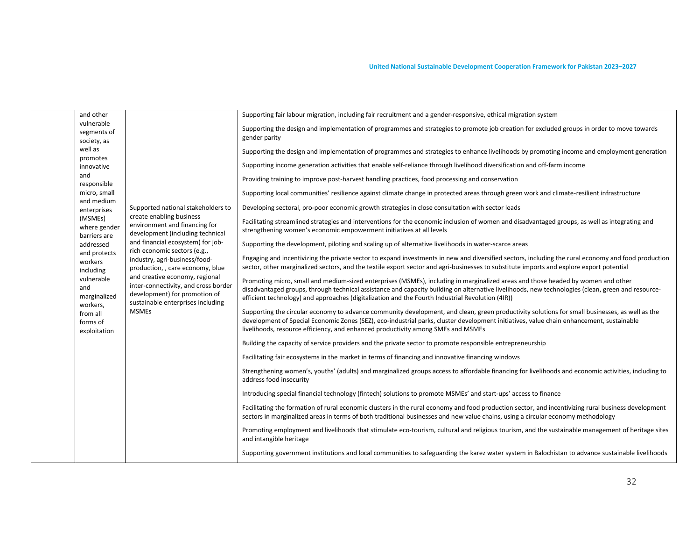| and other<br>vulnerable<br>segments of<br>society, as<br>well as<br>promotes<br>innovative<br>and<br>responsible<br>micro, small<br>and medium                                                       | Supported national stakeholders to                                                                                                                                                                                                                                                                                                                                                                      | Supporting fair labour migration, including fair recruitment and a gender-responsive, ethical migration system<br>Supporting the design and implementation of programmes and strategies to promote job creation for excluded groups in order to move towards<br>gender parity<br>Supporting the design and implementation of programmes and strategies to enhance livelihoods by promoting income and employment generation<br>Supporting income generation activities that enable self-reliance through livelihood diversification and off-farm income<br>Providing training to improve post-harvest handling practices, food processing and conservation<br>Supporting local communities' resilience against climate change in protected areas through green work and climate-resilient infrastructure<br>Developing sectoral, pro-poor economic growth strategies in close consultation with sector leads                                                                                                                                                                                                                                                                                                                                                                                                                                                                                                                                                                                                                                                                                                                                                                                                                                                                                                                                                                                                                                                                                                                                                                                                                                                                                                                                                                                                                                                                                                                                                                                                                                                             |
|------------------------------------------------------------------------------------------------------------------------------------------------------------------------------------------------------|---------------------------------------------------------------------------------------------------------------------------------------------------------------------------------------------------------------------------------------------------------------------------------------------------------------------------------------------------------------------------------------------------------|--------------------------------------------------------------------------------------------------------------------------------------------------------------------------------------------------------------------------------------------------------------------------------------------------------------------------------------------------------------------------------------------------------------------------------------------------------------------------------------------------------------------------------------------------------------------------------------------------------------------------------------------------------------------------------------------------------------------------------------------------------------------------------------------------------------------------------------------------------------------------------------------------------------------------------------------------------------------------------------------------------------------------------------------------------------------------------------------------------------------------------------------------------------------------------------------------------------------------------------------------------------------------------------------------------------------------------------------------------------------------------------------------------------------------------------------------------------------------------------------------------------------------------------------------------------------------------------------------------------------------------------------------------------------------------------------------------------------------------------------------------------------------------------------------------------------------------------------------------------------------------------------------------------------------------------------------------------------------------------------------------------------------------------------------------------------------------------------------------------------------------------------------------------------------------------------------------------------------------------------------------------------------------------------------------------------------------------------------------------------------------------------------------------------------------------------------------------------------------------------------------------------------------------------------------------------------|
| enterprises<br>(MSMEs)<br>where gender<br>barriers are<br>addressed<br>and protects<br>workers<br>including<br>vulnerable<br>and<br>marginalized<br>workers,<br>from all<br>forms of<br>exploitation | create enabling business<br>environment and financing for<br>development (including technical<br>and financial ecosystem) for job-<br>rich economic sectors (e.g.,<br>industry, agri-business/food-<br>production, , care economy, blue<br>and creative economy, regional<br>inter-connectivity, and cross border<br>development) for promotion of<br>sustainable enterprises including<br><b>MSMEs</b> | Facilitating streamlined strategies and interventions for the economic inclusion of women and disadvantaged groups, as well as integrating and<br>strengthening women's economic empowerment initiatives at all levels<br>Supporting the development, piloting and scaling up of alternative livelihoods in water-scarce areas<br>Engaging and incentivizing the private sector to expand investments in new and diversified sectors, including the rural economy and food production<br>sector, other marginalized sectors, and the textile export sector and agri-businesses to substitute imports and explore export potential<br>Promoting micro, small and medium-sized enterprises (MSMEs), including in marginalized areas and those headed by women and other<br>disadvantaged groups, through technical assistance and capacity building on alternative livelihoods, new technologies (clean, green and resource-<br>efficient technology) and approaches (digitalization and the Fourth Industrial Revolution (4IR))<br>Supporting the circular economy to advance community development, and clean, green productivity solutions for small businesses, as well as the<br>development of Special Economic Zones (SEZ), eco-industrial parks, cluster development initiatives, value chain enhancement, sustainable<br>livelihoods, resource efficiency, and enhanced productivity among SMEs and MSMEs<br>Building the capacity of service providers and the private sector to promote responsible entrepreneurship<br>Facilitating fair ecosystems in the market in terms of financing and innovative financing windows<br>Strengthening women's, youths' (adults) and marginalized groups access to affordable financing for livelihoods and economic activities, including to<br>address food insecurity<br>Introducing special financial technology (fintech) solutions to promote MSMEs' and start-ups' access to finance<br>Facilitating the formation of rural economic clusters in the rural economy and food production sector, and incentivizing rural business development<br>sectors in marginalized areas in terms of both traditional businesses and new value chains, using a circular economy methodology<br>Promoting employment and livelihoods that stimulate eco-tourism, cultural and religious tourism, and the sustainable management of heritage sites<br>and intangible heritage<br>Supporting government institutions and local communities to safeguarding the karez water system in Balochistan to advance sustainable livelihoods |
|                                                                                                                                                                                                      |                                                                                                                                                                                                                                                                                                                                                                                                         |                                                                                                                                                                                                                                                                                                                                                                                                                                                                                                                                                                                                                                                                                                                                                                                                                                                                                                                                                                                                                                                                                                                                                                                                                                                                                                                                                                                                                                                                                                                                                                                                                                                                                                                                                                                                                                                                                                                                                                                                                                                                                                                                                                                                                                                                                                                                                                                                                                                                                                                                                                          |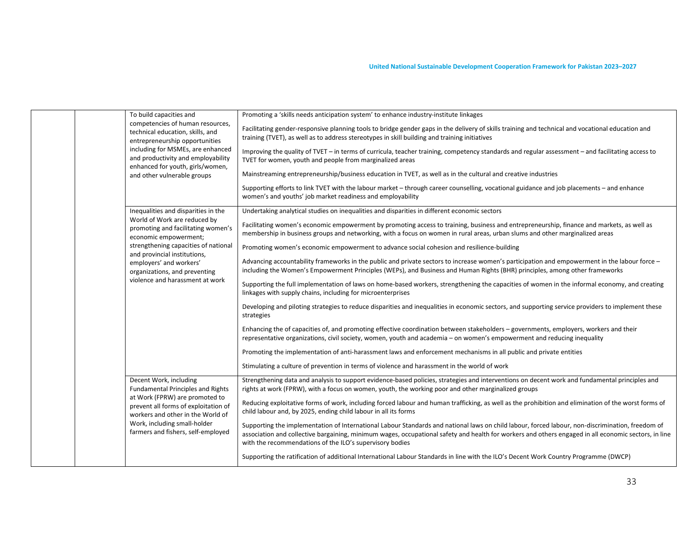|  | To build capacities and<br>competencies of human resources,<br>technical education, skills, and<br>entrepreneurship opportunities<br>including for MSMEs, are enhanced<br>and productivity and employability<br>enhanced for youth, girls/women,<br>and other vulnerable groups | Promoting a 'skills needs anticipation system' to enhance industry-institute linkages<br>Facilitating gender-responsive planning tools to bridge gender gaps in the delivery of skills training and technical and vocational education and                                                                                                                           |
|--|---------------------------------------------------------------------------------------------------------------------------------------------------------------------------------------------------------------------------------------------------------------------------------|----------------------------------------------------------------------------------------------------------------------------------------------------------------------------------------------------------------------------------------------------------------------------------------------------------------------------------------------------------------------|
|  |                                                                                                                                                                                                                                                                                 | training (TVET), as well as to address stereotypes in skill building and training initiatives                                                                                                                                                                                                                                                                        |
|  |                                                                                                                                                                                                                                                                                 | Improving the quality of TVET - in terms of curricula, teacher training, competency standards and regular assessment - and facilitating access to<br>TVET for women, youth and people from marginalized areas                                                                                                                                                        |
|  |                                                                                                                                                                                                                                                                                 | Mainstreaming entrepreneurship/business education in TVET, as well as in the cultural and creative industries                                                                                                                                                                                                                                                        |
|  |                                                                                                                                                                                                                                                                                 | Supporting efforts to link TVET with the labour market – through career counselling, vocational guidance and job placements – and enhance<br>women's and youths' job market readiness and employability                                                                                                                                                              |
|  | Inequalities and disparities in the<br>World of Work are reduced by                                                                                                                                                                                                             | Undertaking analytical studies on inequalities and disparities in different economic sectors                                                                                                                                                                                                                                                                         |
|  | promoting and facilitating women's<br>economic empowerment;<br>strengthening capacities of national<br>and provincial institutions,<br>employers' and workers'<br>organizations, and preventing<br>violence and harassment at work                                              | Facilitating women's economic empowerment by promoting access to training, business and entrepreneurship, finance and markets, as well as<br>membership in business groups and networking, with a focus on women in rural areas, urban slums and other marginalized areas                                                                                            |
|  |                                                                                                                                                                                                                                                                                 | Promoting women's economic empowerment to advance social cohesion and resilience-building                                                                                                                                                                                                                                                                            |
|  |                                                                                                                                                                                                                                                                                 | Advancing accountability frameworks in the public and private sectors to increase women's participation and empowerment in the labour force -<br>including the Women's Empowerment Principles (WEPs), and Business and Human Rights (BHR) principles, among other frameworks                                                                                         |
|  |                                                                                                                                                                                                                                                                                 | Supporting the full implementation of laws on home-based workers, strengthening the capacities of women in the informal economy, and creating<br>linkages with supply chains, including for microenterprises                                                                                                                                                         |
|  |                                                                                                                                                                                                                                                                                 | Developing and piloting strategies to reduce disparities and inequalities in economic sectors, and supporting service providers to implement these<br>strategies                                                                                                                                                                                                     |
|  |                                                                                                                                                                                                                                                                                 | Enhancing the of capacities of, and promoting effective coordination between stakeholders - governments, employers, workers and their<br>representative organizations, civil society, women, youth and academia - on women's empowerment and reducing inequality                                                                                                     |
|  |                                                                                                                                                                                                                                                                                 | Promoting the implementation of anti-harassment laws and enforcement mechanisms in all public and private entities                                                                                                                                                                                                                                                   |
|  |                                                                                                                                                                                                                                                                                 | Stimulating a culture of prevention in terms of violence and harassment in the world of work                                                                                                                                                                                                                                                                         |
|  | Decent Work, including<br><b>Fundamental Principles and Rights</b><br>at Work (FPRW) are promoted to<br>prevent all forms of exploitation of<br>workers and other in the World of<br>Work, including small-holder<br>farmers and fishers, self-employed                         | Strengthening data and analysis to support evidence-based policies, strategies and interventions on decent work and fundamental principles and<br>rights at work (FPRW), with a focus on women, youth, the working poor and other marginalized groups                                                                                                                |
|  |                                                                                                                                                                                                                                                                                 | Reducing exploitative forms of work, including forced labour and human trafficking, as well as the prohibition and elimination of the worst forms of<br>child labour and, by 2025, ending child labour in all its forms                                                                                                                                              |
|  |                                                                                                                                                                                                                                                                                 | Supporting the implementation of International Labour Standards and national laws on child labour, forced labour, non-discrimination, freedom of<br>association and collective bargaining, minimum wages, occupational safety and health for workers and others engaged in all economic sectors, in line<br>with the recommendations of the ILO's supervisory bodies |
|  |                                                                                                                                                                                                                                                                                 | Supporting the ratification of additional International Labour Standards in line with the ILO's Decent Work Country Programme (DWCP)                                                                                                                                                                                                                                 |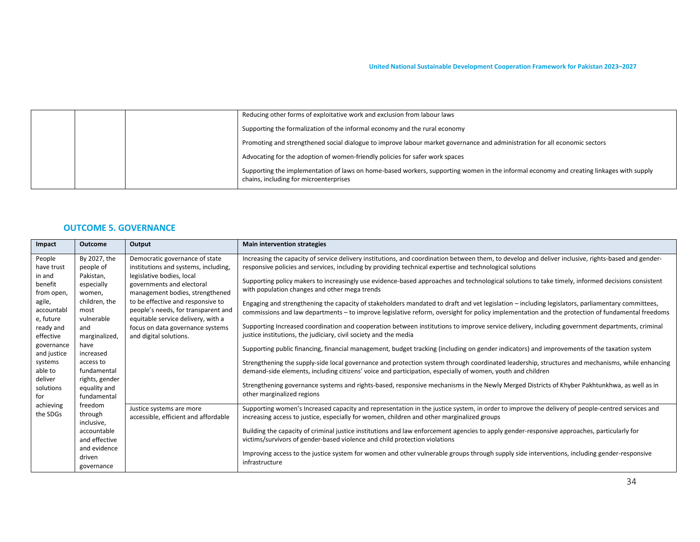|  | Reducing other forms of exploitative work and exclusion from labour laws                                                                                                          |
|--|-----------------------------------------------------------------------------------------------------------------------------------------------------------------------------------|
|  | Supporting the formalization of the informal economy and the rural economy                                                                                                        |
|  | Promoting and strengthened social dialogue to improve labour market governance and administration for all economic sectors                                                        |
|  | Advocating for the adoption of women-friendly policies for safer work spaces                                                                                                      |
|  | Supporting the implementation of laws on home-based workers, supporting women in the informal economy and creating linkages with supply<br>chains, including for microenterprises |

#### **OUTCOME 5. GOVERNANCE**

| Impact                                                                                                                                                                                            | <b>Outcome</b>                                                                                                                                                                                                   | Output                                                                                                                                                                                                                                                                                                                                              | <b>Main intervention strategies</b>                                                                                                                                                                                                                                                                                                                                                                                                                                                                                                                                                                                                                                                                                                                                                                                                                                                                                                                                                                                                                                                                                                                                                                                                                                                                                                                                                                                                                                                                                                                              |
|---------------------------------------------------------------------------------------------------------------------------------------------------------------------------------------------------|------------------------------------------------------------------------------------------------------------------------------------------------------------------------------------------------------------------|-----------------------------------------------------------------------------------------------------------------------------------------------------------------------------------------------------------------------------------------------------------------------------------------------------------------------------------------------------|------------------------------------------------------------------------------------------------------------------------------------------------------------------------------------------------------------------------------------------------------------------------------------------------------------------------------------------------------------------------------------------------------------------------------------------------------------------------------------------------------------------------------------------------------------------------------------------------------------------------------------------------------------------------------------------------------------------------------------------------------------------------------------------------------------------------------------------------------------------------------------------------------------------------------------------------------------------------------------------------------------------------------------------------------------------------------------------------------------------------------------------------------------------------------------------------------------------------------------------------------------------------------------------------------------------------------------------------------------------------------------------------------------------------------------------------------------------------------------------------------------------------------------------------------------------|
| People<br>have trust<br>in and<br>benefit<br>from open,<br>agile,<br>accountabl<br>e, future<br>ready and<br>effective<br>governance<br>and justice<br>systems<br>able to<br>deliver<br>solutions | By 2027, the<br>people of<br>Pakistan,<br>especially<br>women,<br>children, the<br>most<br>vulnerable<br>and<br>marginalized,<br>have<br>increased<br>access to<br>fundamental<br>rights, gender<br>equality and | Democratic governance of state<br>institutions and systems, including,<br>legislative bodies, local<br>governments and electoral<br>management bodies, strengthened<br>to be effective and responsive to<br>people's needs, for transparent and<br>equitable service delivery, with a<br>focus on data governance systems<br>and digital solutions. | Increasing the capacity of service delivery institutions, and coordination between them, to develop and deliver inclusive, rights-based and gender-<br>responsive policies and services, including by providing technical expertise and technological solutions<br>Supporting policy makers to increasingly use evidence-based approaches and technological solutions to take timely, informed decisions consistent<br>with population changes and other mega trends<br>Engaging and strengthening the capacity of stakeholders mandated to draft and vet legislation – including legislators, parliamentary committees,<br>commissions and law departments – to improve legislative reform, oversight for policy implementation and the protection of fundamental freedoms<br>Supporting Increased coordination and cooperation between institutions to improve service delivery, including government departments, criminal<br>justice institutions, the judiciary, civil society and the media<br>Supporting public financing, financial management, budget tracking (including on gender indicators) and improvements of the taxation system<br>Strengthening the supply-side local governance and protection system through coordinated leadership, structures and mechanisms, while enhancing<br>demand-side elements, including citizens' voice and participation, especially of women, youth and children<br>Strengthening governance systems and rights-based, responsive mechanisms in the Newly Merged Districts of Khyber Pakhtunkhwa, as well as in |
| for<br>achieving                                                                                                                                                                                  | fundamental<br>freedom                                                                                                                                                                                           | Justice systems are more                                                                                                                                                                                                                                                                                                                            | other marginalized regions<br>Supporting women's Increased capacity and representation in the justice system, in order to improve the delivery of people-centred services and                                                                                                                                                                                                                                                                                                                                                                                                                                                                                                                                                                                                                                                                                                                                                                                                                                                                                                                                                                                                                                                                                                                                                                                                                                                                                                                                                                                    |
| the SDGs                                                                                                                                                                                          | through<br>inclusive,                                                                                                                                                                                            | accessible, efficient and affordable                                                                                                                                                                                                                                                                                                                | increasing access to justice, especially for women, children and other marginalized groups                                                                                                                                                                                                                                                                                                                                                                                                                                                                                                                                                                                                                                                                                                                                                                                                                                                                                                                                                                                                                                                                                                                                                                                                                                                                                                                                                                                                                                                                       |
|                                                                                                                                                                                                   | accountable<br>and effective                                                                                                                                                                                     |                                                                                                                                                                                                                                                                                                                                                     | Building the capacity of criminal justice institutions and law enforcement agencies to apply gender-responsive approaches, particularly for<br>victims/survivors of gender-based violence and child protection violations                                                                                                                                                                                                                                                                                                                                                                                                                                                                                                                                                                                                                                                                                                                                                                                                                                                                                                                                                                                                                                                                                                                                                                                                                                                                                                                                        |
|                                                                                                                                                                                                   | and evidence<br>driven<br>governance                                                                                                                                                                             |                                                                                                                                                                                                                                                                                                                                                     | Improving access to the justice system for women and other vulnerable groups through supply side interventions, including gender-responsive<br>infrastructure                                                                                                                                                                                                                                                                                                                                                                                                                                                                                                                                                                                                                                                                                                                                                                                                                                                                                                                                                                                                                                                                                                                                                                                                                                                                                                                                                                                                    |